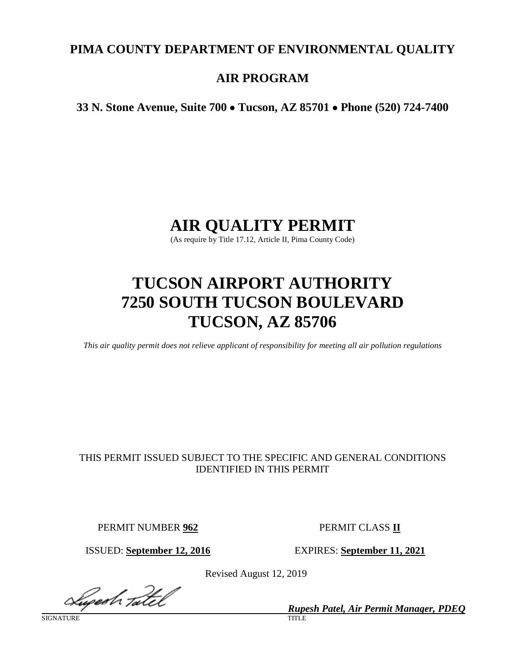# **PIMA COUNTY DEPARTMENT OF ENVIRONMENTAL QUALITY**

# **AIR PROGRAM**

**33 N. Stone Avenue, Suite 700** • **Tucson, AZ 85701** • **Phone (520) 724-7400**

# **AIR QUALITY PERMIT**

(As require by Title 17.12, Article II, Pima County Code)

# **TUCSON AIRPORT AUTHORITY 7250 SOUTH TUCSON BOULEVARD TUCSON, AZ 85706**

*This air quality permit does not relieve applicant of responsibility for meeting all air pollution regulations*

# THIS PERMIT ISSUED SUBJECT TO THE SPECIFIC AND GENERAL CONDITIONS IDENTIFIED IN THIS PERMIT

PERMIT NUMBER **962** PERMIT CLASS **II**

ISSUED: **September 12, 2016** EXPIRES: **September 11, 2021**

Revised August 12, 2019

Lugesh Tatel

*Rupesh Patel, Air Permit Manager, PDEQ*

SIGNATURE TITLE THE SERVICE OF THE SERVICE OF THE SERVICE OF THE SERVICE OF THE SERVICE OF THE SERVICE OF THE S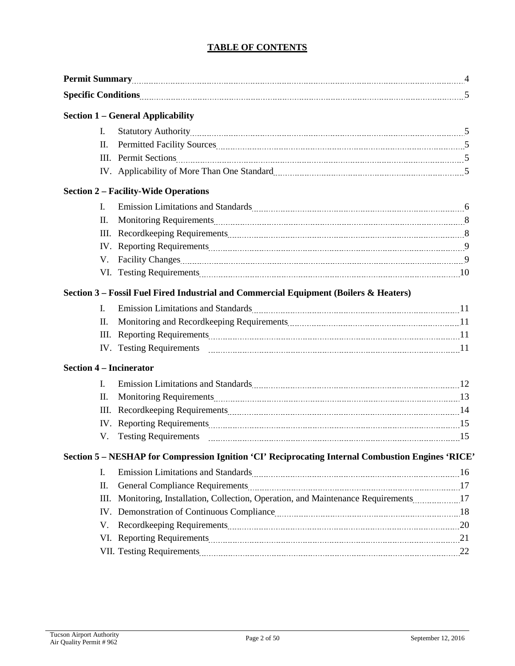# **TABLE OF CONTENTS**

|                                | <b>Permit Summary</b> 2008 2014 2022 2023 2024 2024 2025 2021 2022 2024 2025 2024 2023 2024 2023 2024 2025 2026 2027 2028 2027 2027 2028 2029 2023 2024 2025 2026 2027 2028 2029 2027 2028 2027 2028 2029 2027 2028 2029 2029 2029   |  |
|--------------------------------|--------------------------------------------------------------------------------------------------------------------------------------------------------------------------------------------------------------------------------------|--|
|                                |                                                                                                                                                                                                                                      |  |
|                                | <b>Section 1 – General Applicability</b>                                                                                                                                                                                             |  |
| $\mathbf{I}$ .                 |                                                                                                                                                                                                                                      |  |
| П.                             | Permitted Facility Sources [100] Sources [100] Sources [100] Sermitted Facility Sources [100] Sources [100] S                                                                                                                        |  |
| Ш.                             |                                                                                                                                                                                                                                      |  |
|                                |                                                                                                                                                                                                                                      |  |
|                                | <b>Section 2 - Facility-Wide Operations</b>                                                                                                                                                                                          |  |
| I.                             |                                                                                                                                                                                                                                      |  |
| П.                             |                                                                                                                                                                                                                                      |  |
| Ш.                             |                                                                                                                                                                                                                                      |  |
|                                |                                                                                                                                                                                                                                      |  |
| V.                             | Facility Changes <u>manual contract contract and the set of the set of the set of the set of the set of the set of the set of the set of the set of the set of the set of the set of the set of the set of the set of the set of</u> |  |
|                                | VI. Testing Requirements 2000 and 2000 and 2000 and 2000 and 2000 and 2000 and 2000 and 2000 and 2000 and 2000 and 2000 and 2000 and 2000 and 2000 and 2000 and 2000 and 2000 and 2000 and 2000 and 2000 and 2000 and 2000 and       |  |
|                                | Section 3 – Fossil Fuel Fired Industrial and Commercial Equipment (Boilers & Heaters)                                                                                                                                                |  |
| I.                             | Emission Limitations and Standards Material According and Standards Material According 11 and 2014                                                                                                                                   |  |
| П.                             | Monitoring and Recordkeeping Requirements [11] Monitoring and Recordkeeping Requirements [11] Monitoring and Recordkeeping Requirements [11] Monitoring and Recordkeeping Requirements [11] Monitoring and Recording and Recor       |  |
| Ш.                             |                                                                                                                                                                                                                                      |  |
|                                |                                                                                                                                                                                                                                      |  |
| <b>Section 4 – Incinerator</b> |                                                                                                                                                                                                                                      |  |
| I.                             | Emission Limitations and Standards Material According to the United Standards Material According to the United Standards Material According to the United Standards Material According to the United Standards Material Accord       |  |
| П.                             |                                                                                                                                                                                                                                      |  |
| Ш.                             |                                                                                                                                                                                                                                      |  |
|                                |                                                                                                                                                                                                                                      |  |
|                                |                                                                                                                                                                                                                                      |  |
|                                | Section 5 - NESHAP for Compression Ignition 'CI' Reciprocating Internal Combustion Engines 'RICE'                                                                                                                                    |  |
| Ι.                             | Emission Limitations and Standards Manual Manual Manual Manual Manual Manual Manual 16                                                                                                                                               |  |
| II.                            | General Compliance Requirements [17] Seneral Compliance Requirements [17] All and the seneral compliance Requirements [17] All and the seneral compliance Requirements [17] All and the seneral compliance Requirements [17] A       |  |
| Ш.                             | Monitoring, Installation, Collection, Operation, and Maintenance Requirements17                                                                                                                                                      |  |
|                                |                                                                                                                                                                                                                                      |  |
| V.                             |                                                                                                                                                                                                                                      |  |
|                                |                                                                                                                                                                                                                                      |  |
|                                |                                                                                                                                                                                                                                      |  |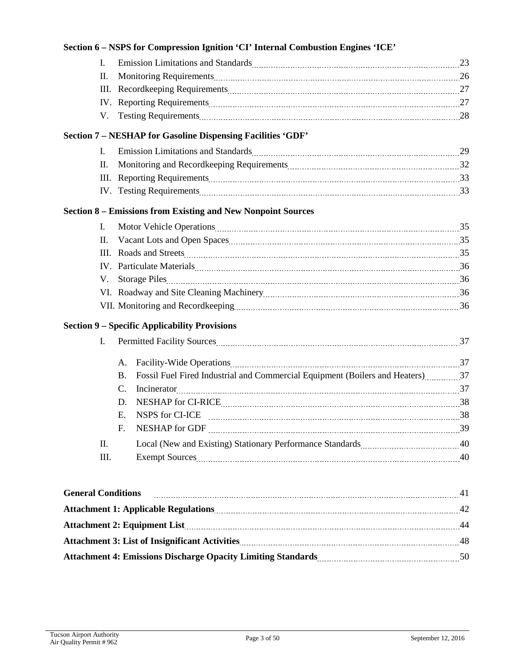|                           |                | Section 6 - NSPS for Compression Ignition 'CI' Internal Combustion Engines 'ICE'                                                                                                                                               |    |
|---------------------------|----------------|--------------------------------------------------------------------------------------------------------------------------------------------------------------------------------------------------------------------------------|----|
|                           | $\mathbf{I}$ . | Emission Limitations and Standards Material Communications and Standards Material Communications and Standards                                                                                                                 |    |
|                           | П.             | Monitoring Requirements 26                                                                                                                                                                                                     |    |
|                           | Ш.             |                                                                                                                                                                                                                                |    |
|                           |                |                                                                                                                                                                                                                                |    |
|                           |                | V. Testing Requirements 28                                                                                                                                                                                                     |    |
|                           |                | <b>Section 7 - NESHAP for Gasoline Dispensing Facilities 'GDF'</b>                                                                                                                                                             |    |
|                           | I.             | Emission Limitations and Standards Manual Manual Manual Manual Manual Manual Manual 29                                                                                                                                         |    |
|                           | II.            | Monitoring and Recordkeeping Requirements <b>Monitorial Engineering Contract 20</b> 32                                                                                                                                         |    |
|                           |                |                                                                                                                                                                                                                                |    |
|                           |                | IV. Testing Requirements 23                                                                                                                                                                                                    |    |
|                           |                | <b>Section 8 – Emissions from Existing and New Nonpoint Sources</b>                                                                                                                                                            |    |
|                           | L.             | Motor Vehicle Operations 25                                                                                                                                                                                                    |    |
|                           | II.            |                                                                                                                                                                                                                                |    |
|                           |                |                                                                                                                                                                                                                                |    |
|                           |                |                                                                                                                                                                                                                                |    |
|                           | V.             |                                                                                                                                                                                                                                |    |
|                           |                |                                                                                                                                                                                                                                |    |
|                           |                | VII. Monitoring and Recordkeeping manual contract and a set of the Recordkeeping manual contract and a set of the Mi                                                                                                           |    |
|                           |                | <b>Section 9 - Specific Applicability Provisions</b>                                                                                                                                                                           |    |
|                           | I.             | Permitted Facility Sources 27 and 27 and 27 and 27 and 27 and 27 and 27 and 27 and 27 and 27 and 27 and 27 and 27 and 27 and 27 and 27 and 27 and 27 and 27 and 27 and 27 and 27 and 27 and 27 and 27 and 27 and 27 and 27 and |    |
|                           |                | А.                                                                                                                                                                                                                             |    |
|                           |                | Fossil Fuel Fired Industrial and Commercial Equipment (Boilers and Heaters) 37<br><b>B.</b>                                                                                                                                    |    |
|                           |                | C.                                                                                                                                                                                                                             |    |
|                           |                | D.                                                                                                                                                                                                                             |    |
|                           |                | NSPS for CI-ICE<br>$E_{\rm{c}}$                                                                                                                                                                                                | 38 |
|                           |                | F.                                                                                                                                                                                                                             |    |
|                           | II.            |                                                                                                                                                                                                                                |    |
|                           | Ш.             | Exempt Sources 40                                                                                                                                                                                                              |    |
|                           |                |                                                                                                                                                                                                                                |    |
| <b>General Conditions</b> |                |                                                                                                                                                                                                                                |    |
|                           |                |                                                                                                                                                                                                                                |    |
|                           |                | Attachment 2: Equipment List 144                                                                                                                                                                                               |    |
|                           |                |                                                                                                                                                                                                                                |    |

Attachment 4: Emissions Discharge Opacity Limiting Standards **50** Standards **50** Standards **50** Standards **50** Standards **50** Standards **50** Standards **50** Standards **50** Standards **50** Standards **50** Standards **50** Standa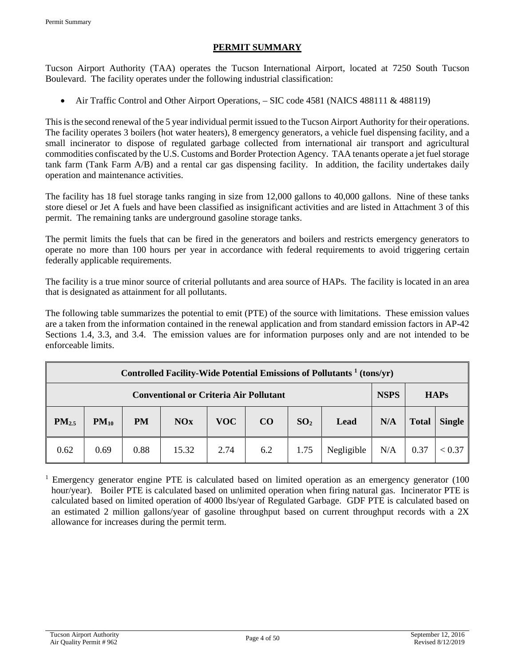### **PERMIT SUMMARY**

Tucson Airport Authority (TAA) operates the Tucson International Airport, located at 7250 South Tucson Boulevard. The facility operates under the following industrial classification:

• Air Traffic Control and Other Airport Operations, – SIC code 4581 (NAICS 488111 & 488119)

This is the second renewal of the 5 year individual permit issued to the Tucson Airport Authority for their operations. The facility operates 3 boilers (hot water heaters), 8 emergency generators, a vehicle fuel dispensing facility, and a small incinerator to dispose of regulated garbage collected from international air transport and agricultural commodities confiscated by the U.S. Customs and Border Protection Agency. TAA tenants operate a jet fuel storage tank farm (Tank Farm A/B) and a rental car gas dispensing facility. In addition, the facility undertakes daily operation and maintenance activities.

The facility has 18 fuel storage tanks ranging in size from 12,000 gallons to 40,000 gallons. Nine of these tanks store diesel or Jet A fuels and have been classified as insignificant activities and are listed in Attachment 3 of this permit. The remaining tanks are underground gasoline storage tanks.

The permit limits the fuels that can be fired in the generators and boilers and restricts emergency generators to operate no more than 100 hours per year in accordance with federal requirements to avoid triggering certain federally applicable requirements.

The facility is a true minor source of criterial pollutants and area source of HAPs. The facility is located in an area that is designated as attainment for all pollutants.

The following table summarizes the potential to emit (PTE) of the source with limitations. These emission values are a taken from the information contained in the renewal application and from standard emission factors in AP-42 Sections 1.4, 3.3, and 3.4. The emission values are for information purposes only and are not intended to be enforceable limits.

| Controlled Facility-Wide Potential Emissions of Pollutants <sup>1</sup> (tons/yr) |           |           |            |             |             |                 |            |     |              |               |
|-----------------------------------------------------------------------------------|-----------|-----------|------------|-------------|-------------|-----------------|------------|-----|--------------|---------------|
| <b>Conventional or Criteria Air Pollutant</b>                                     |           |           |            | <b>NSPS</b> | <b>HAPs</b> |                 |            |     |              |               |
| PM <sub>2.5</sub>                                                                 | $PM_{10}$ | <b>PM</b> | <b>NOx</b> | <b>VOC</b>  | CO          | SO <sub>2</sub> | Lead       | N/A | <b>Total</b> | <b>Single</b> |
| 0.62                                                                              | 0.69      | 0.88      | 15.32      | 2.74        | 6.2         | 1.75            | Negligible | N/A | 0.37         | < 0.37        |

<sup>1</sup> Emergency generator engine PTE is calculated based on limited operation as an emergency generator (100) hour/year). Boiler PTE is calculated based on unlimited operation when firing natural gas. Incinerator PTE is calculated based on limited operation of 4000 lbs/year of Regulated Garbage. GDF PTE is calculated based on an estimated 2 million gallons/year of gasoline throughput based on current throughput records with a 2X allowance for increases during the permit term.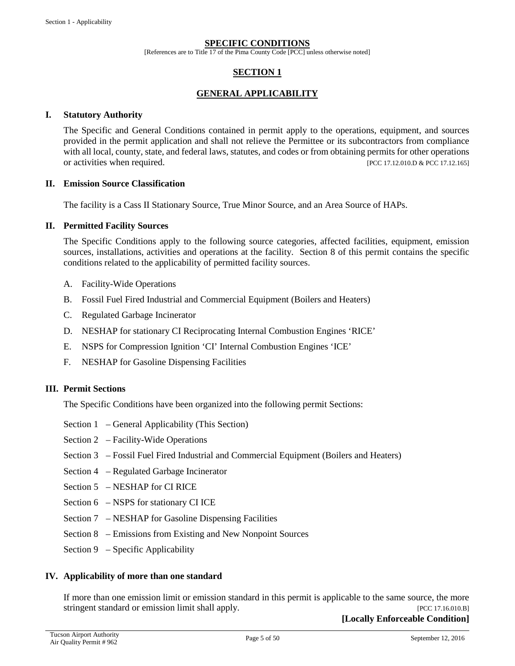#### **SPECIFIC CONDITIONS**

[References are to Title 17 of the Pima County Code [PCC] unless otherwise noted]

### **SECTION 1**

#### **GENERAL APPLICABILITY**

#### **I. Statutory Authority**

The Specific and General Conditions contained in permit apply to the operations, equipment, and sources provided in the permit application and shall not relieve the Permittee or its subcontractors from compliance with all local, county, state, and federal laws, statutes, and codes or from obtaining permits for other operations or activities when required. [PCC 17.12.010.D & PCC 17.12.165]

#### **II. Emission Source Classification**

The facility is a Cass II Stationary Source, True Minor Source, and an Area Source of HAPs.

#### **II. Permitted Facility Sources**

The Specific Conditions apply to the following source categories, affected facilities, equipment, emission sources, installations, activities and operations at the facility. Section 8 of this permit contains the specific conditions related to the applicability of permitted facility sources.

- A. Facility-Wide Operations
- B. Fossil Fuel Fired Industrial and Commercial Equipment (Boilers and Heaters)
- C. Regulated Garbage Incinerator
- D. NESHAP for stationary CI Reciprocating Internal Combustion Engines 'RICE'
- E. NSPS for Compression Ignition 'CI' Internal Combustion Engines 'ICE'
- F. NESHAP for Gasoline Dispensing Facilities

#### **III. Permit Sections**

The Specific Conditions have been organized into the following permit Sections:

- Section 1 General Applicability (This Section)
- Section 2 Facility-Wide Operations
- Section 3 Fossil Fuel Fired Industrial and Commercial Equipment (Boilers and Heaters)
- Section 4 Regulated Garbage Incinerator
- Section 5 NESHAP for CI RICE
- Section 6 NSPS for stationary CI ICE
- Section 7 NESHAP for Gasoline Dispensing Facilities
- Section 8 Emissions from Existing and New Nonpoint Sources
- Section 9 Specific Applicability

#### **IV. Applicability of more than one standard**

If more than one emission limit or emission standard in this permit is applicable to the same source, the more stringent standard or emission limit shall apply. [PCC 17.16.010.B]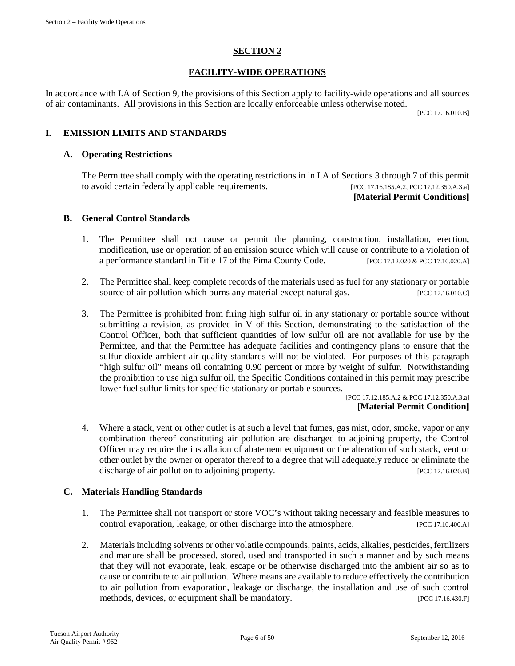# **SECTION 2**

# **FACILITY-WIDE OPERATIONS**

In accordance with I.A of Section 9, the provisions of this Section apply to facility-wide operations and all sources of air contaminants. All provisions in this Section are locally enforceable unless otherwise noted.

[PCC 17.16.010.B]

# **I. EMISSION LIMITS AND STANDARDS**

#### **A. Operating Restrictions**

The Permittee shall comply with the operating restrictions in in I.A of Sections 3 through 7 of this permit to avoid certain federally applicable requirements. [PCC 17.16.185.A.2, PCC 17.12.350.A.3.a] **[Material Permit Conditions]**

#### **B. General Control Standards**

- 1. The Permittee shall not cause or permit the planning, construction, installation, erection, modification, use or operation of an emission source which will cause or contribute to a violation of a performance standard in Title 17 of the Pima County Code. [PCC 17.12.020 & PCC 17.16.020.A]
- 2. The Permittee shall keep complete records of the materials used as fuel for any stationary or portable source of air pollution which burns any material except natural gas. [PCC 17.16.010.C]
- 3. The Permittee is prohibited from firing high sulfur oil in any stationary or portable source without submitting a revision, as provided in V of this Section, demonstrating to the satisfaction of the Control Officer, both that sufficient quantities of low sulfur oil are not available for use by the Permittee, and that the Permittee has adequate facilities and contingency plans to ensure that the sulfur dioxide ambient air quality standards will not be violated. For purposes of this paragraph "high sulfur oil" means oil containing 0.90 percent or more by weight of sulfur. Notwithstanding the prohibition to use high sulfur oil, the Specific Conditions contained in this permit may prescribe lower fuel sulfur limits for specific stationary or portable sources.

[PCC 17.12.185.A.2 & PCC 17.12.350.A.3.a] **[Material Permit Condition]**

4. Where a stack, vent or other outlet is at such a level that fumes, gas mist, odor, smoke, vapor or any combination thereof constituting air pollution are discharged to adjoining property, the Control Officer may require the installation of abatement equipment or the alteration of such stack, vent or other outlet by the owner or operator thereof to a degree that will adequately reduce or eliminate the discharge of air pollution to adjoining property. [PCC 17.16.020.B]

#### **C. Materials Handling Standards**

- 1. The Permittee shall not transport or store VOC's without taking necessary and feasible measures to control evaporation, leakage, or other discharge into the atmosphere. [PCC 17.16.400.A]
- 2. Materials including solvents or other volatile compounds, paints, acids, alkalies, pesticides, fertilizers and manure shall be processed, stored, used and transported in such a manner and by such means that they will not evaporate, leak, escape or be otherwise discharged into the ambient air so as to cause or contribute to air pollution. Where means are available to reduce effectively the contribution to air pollution from evaporation, leakage or discharge, the installation and use of such control methods, devices, or equipment shall be mandatory. [PCC 17.16.430.F]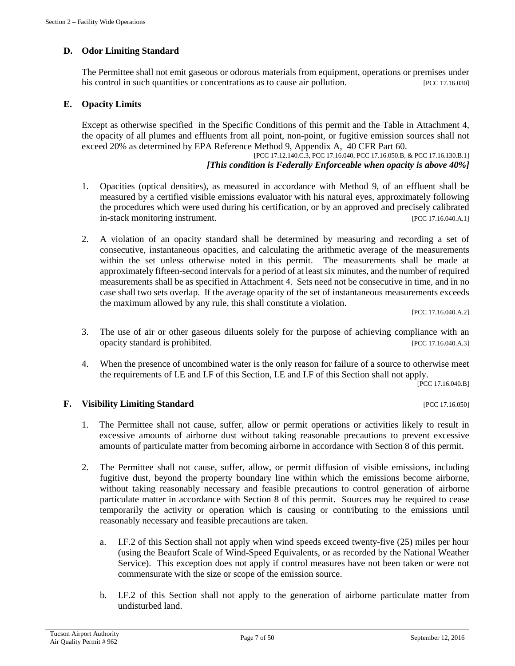# **D. Odor Limiting Standard**

The Permittee shall not emit gaseous or odorous materials from equipment, operations or premises under his control in such quantities or concentrations as to cause air pollution. [PCC 17.16.030]

### **E. Opacity Limits**

Except as otherwise specified in the Specific Conditions of this permit and the Table in Attachment 4, the opacity of all plumes and effluents from all point, non-point, or fugitive emission sources shall not exceed 20% as determined by EPA Reference Method 9, Appendix A, 40 CFR Part 60.

[PCC 17.12.140.C.3, PCC 17.16.040, PCC 17.16.050.B, & PCC 17.16.130.B.1] *[This condition is Federally Enforceable when opacity is above 40%]*

- 1. Opacities (optical densities), as measured in accordance with Method 9, of an effluent shall be measured by a certified visible emissions evaluator with his natural eyes, approximately following the procedures which were used during his certification, or by an approved and precisely calibrated in-stack monitoring instrument. [PCC 17.16.040.A.1]
- 2. A violation of an opacity standard shall be determined by measuring and recording a set of consecutive, instantaneous opacities, and calculating the arithmetic average of the measurements within the set unless otherwise noted in this permit. The measurements shall be made at approximately fifteen-second intervals for a period of at least six minutes, and the number of required measurements shall be as specified in Attachment 4. Sets need not be consecutive in time, and in no case shall two sets overlap. If the average opacity of the set of instantaneous measurements exceeds the maximum allowed by any rule, this shall constitute a violation.

[PCC 17.16.040.A.2]

- 3. The use of air or other gaseous diluents solely for the purpose of achieving compliance with an opacity standard is prohibited. [PCC 17.16.040.A.3]
- 4. When the presence of uncombined water is the only reason for failure of a source to otherwise meet the requirements of I.E and I.F of this Section, I.E and I.F of this Section shall not apply.

[PCC 17.16.040.B]

#### **F. Visibility Limiting Standard Example 2018 EXAMPLE 2018 12:35 PCC 17.16.050**

- 1. The Permittee shall not cause, suffer, allow or permit operations or activities likely to result in excessive amounts of airborne dust without taking reasonable precautions to prevent excessive amounts of particulate matter from becoming airborne in accordance with Section 8 of this permit.
- 2. The Permittee shall not cause, suffer, allow, or permit diffusion of visible emissions, including fugitive dust, beyond the property boundary line within which the emissions become airborne, without taking reasonably necessary and feasible precautions to control generation of airborne particulate matter in accordance with Section 8 of this permit. Sources may be required to cease temporarily the activity or operation which is causing or contributing to the emissions until reasonably necessary and feasible precautions are taken.
	- a. I.F.2 of this Section shall not apply when wind speeds exceed twenty-five (25) miles per hour (using the Beaufort Scale of Wind-Speed Equivalents, or as recorded by the National Weather Service). This exception does not apply if control measures have not been taken or were not commensurate with the size or scope of the emission source.
	- b. I.F.2 of this Section shall not apply to the generation of airborne particulate matter from undisturbed land.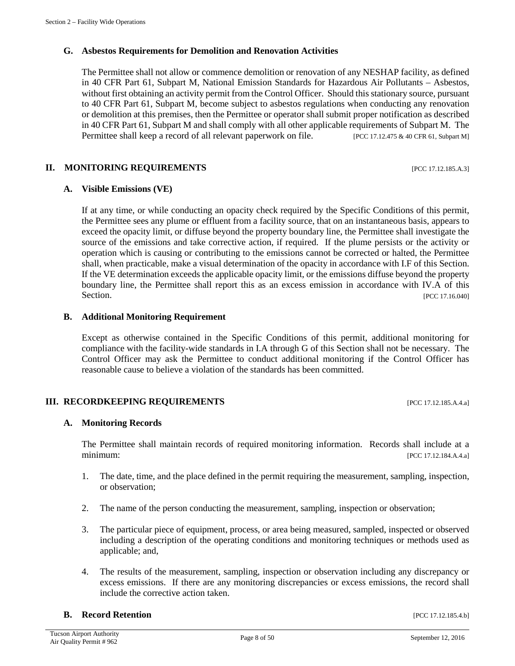# **G. Asbestos Requirements for Demolition and Renovation Activities**

The Permittee shall not allow or commence demolition or renovation of any NESHAP facility, as defined in 40 CFR Part 61, Subpart M, National Emission Standards for Hazardous Air Pollutants – Asbestos, without first obtaining an activity permit from the Control Officer. Should this stationary source, pursuant to 40 CFR Part 61, Subpart M, become subject to asbestos regulations when conducting any renovation or demolition at this premises, then the Permittee or operator shall submit proper notification as described in 40 CFR Part 61, Subpart M and shall comply with all other applicable requirements of Subpart M. The Permittee shall keep a record of all relevant paperwork on file. [PCC 17.12.475 & 40 CFR 61, Subpart M]

#### **II. MONITORING REQUIREMENTS** [PCC 17.12.185.A.3]

### **A. Visible Emissions (VE)**

If at any time, or while conducting an opacity check required by the Specific Conditions of this permit, the Permittee sees any plume or effluent from a facility source, that on an instantaneous basis, appears to exceed the opacity limit, or diffuse beyond the property boundary line, the Permittee shall investigate the source of the emissions and take corrective action, if required. If the plume persists or the activity or operation which is causing or contributing to the emissions cannot be corrected or halted, the Permittee shall, when practicable, make a visual determination of the opacity in accordance with I.F of this Section. If the VE determination exceeds the applicable opacity limit, or the emissions diffuse beyond the property boundary line, the Permittee shall report this as an excess emission in accordance with IV.A of this Section. [PCC 17.16.040]

### **B. Additional Monitoring Requirement**

Except as otherwise contained in the Specific Conditions of this permit, additional monitoring for compliance with the facility-wide standards in I.A through G of this Section shall not be necessary. The Control Officer may ask the Permittee to conduct additional monitoring if the Control Officer has reasonable cause to believe a violation of the standards has been committed.

#### **III. RECORDKEEPING REQUIREMENTS** [PCC 17.12.185.A.4.a]

#### **A. Monitoring Records**

The Permittee shall maintain records of required monitoring information. Records shall include at a minimum: [PCC 17.12.184.A.4.a]

- 1. The date, time, and the place defined in the permit requiring the measurement, sampling, inspection, or observation;
- 2. The name of the person conducting the measurement, sampling, inspection or observation;
- 3. The particular piece of equipment, process, or area being measured, sampled, inspected or observed including a description of the operating conditions and monitoring techniques or methods used as applicable; and,
- 4. The results of the measurement, sampling, inspection or observation including any discrepancy or excess emissions. If there are any monitoring discrepancies or excess emissions, the record shall include the corrective action taken.

#### **B. Record Retention** [PCC 17.12.185.4.b]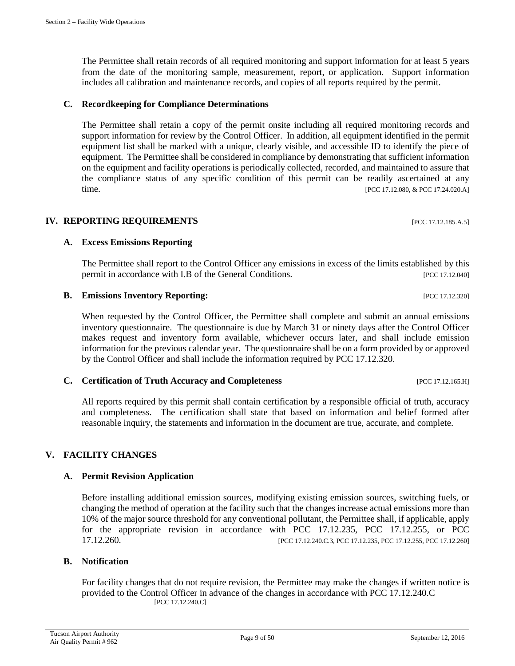The Permittee shall retain records of all required monitoring and support information for at least 5 years from the date of the monitoring sample, measurement, report, or application. Support information includes all calibration and maintenance records, and copies of all reports required by the permit.

# **C. Recordkeeping for Compliance Determinations**

The Permittee shall retain a copy of the permit onsite including all required monitoring records and support information for review by the Control Officer. In addition, all equipment identified in the permit equipment list shall be marked with a unique, clearly visible, and accessible ID to identify the piece of equipment. The Permittee shall be considered in compliance by demonstrating that sufficient information on the equipment and facility operations is periodically collected, recorded, and maintained to assure that the compliance status of any specific condition of this permit can be readily ascertained at any time. [PCC 17.12.080, & PCC 17.24.020.A]

# **IV. REPORTING REQUIREMENTS** [PCC 17.12.185.A.5]

# **A. Excess Emissions Reporting**

The Permittee shall report to the Control Officer any emissions in excess of the limits established by this permit in accordance with I.B of the General Conditions. [PCC 17.12.040]

### **B. Emissions Inventory Reporting:**  $\qquad \qquad$  [PCC 17.12.320]

When requested by the Control Officer, the Permittee shall complete and submit an annual emissions inventory questionnaire. The questionnaire is due by March 31 or ninety days after the Control Officer makes request and inventory form available, whichever occurs later, and shall include emission information for the previous calendar year. The questionnaire shall be on a form provided by or approved by the Control Officer and shall include the information required by PCC 17.12.320.

#### **C. Certification of Truth Accuracy and Completeness** [PCC 17.12.165.H]

All reports required by this permit shall contain certification by a responsible official of truth, accuracy and completeness. The certification shall state that based on information and belief formed after reasonable inquiry, the statements and information in the document are true, accurate, and complete.

# **V. FACILITY CHANGES**

# **A. Permit Revision Application**

Before installing additional emission sources, modifying existing emission sources, switching fuels, or changing the method of operation at the facility such that the changes increase actual emissions more than 10% of the major source threshold for any conventional pollutant, the Permittee shall, if applicable, apply for the appropriate revision in accordance with PCC 17.12.235, PCC 17.12.255, or PCC [PCC 17.12.240.C.3, PCC 17.12.235, PCC 17.12.255, PCC 17.12.260]

#### **B. Notification**

For facility changes that do not require revision, the Permittee may make the changes if written notice is provided to the Control Officer in advance of the changes in accordance with PCC 17.12.240.C [PCC 17.12.240.C]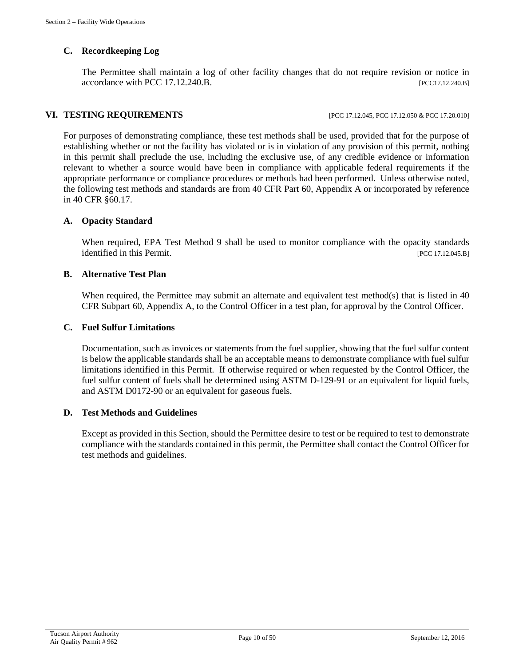# **C. Recordkeeping Log**

The Permittee shall maintain a log of other facility changes that do not require revision or notice in accordance with PCC 17.12.240.B. [PCC17.12.240.B]

#### **VI. TESTING REQUIREMENTS** [PCC 17.12.045, PCC 17.12.050 & PCC 17.20.010]

For purposes of demonstrating compliance, these test methods shall be used, provided that for the purpose of establishing whether or not the facility has violated or is in violation of any provision of this permit, nothing in this permit shall preclude the use, including the exclusive use, of any credible evidence or information relevant to whether a source would have been in compliance with applicable federal requirements if the appropriate performance or compliance procedures or methods had been performed. Unless otherwise noted, the following test methods and standards are from 40 CFR Part 60, Appendix A or incorporated by reference in 40 CFR §60.17.

#### **A. Opacity Standard**

When required, EPA Test Method 9 shall be used to monitor compliance with the opacity standards identified in this Permit. [PCC 17.12.045.B]

#### **B. Alternative Test Plan**

When required, the Permittee may submit an alternate and equivalent test method(s) that is listed in 40 CFR Subpart 60, Appendix A, to the Control Officer in a test plan, for approval by the Control Officer.

#### **C. Fuel Sulfur Limitations**

Documentation, such as invoices or statements from the fuel supplier, showing that the fuel sulfur content is below the applicable standards shall be an acceptable means to demonstrate compliance with fuel sulfur limitations identified in this Permit. If otherwise required or when requested by the Control Officer, the fuel sulfur content of fuels shall be determined using ASTM D-129-91 or an equivalent for liquid fuels, and ASTM D0172-90 or an equivalent for gaseous fuels.

#### **D. Test Methods and Guidelines**

Except as provided in this Section, should the Permittee desire to test or be required to test to demonstrate compliance with the standards contained in this permit, the Permittee shall contact the Control Officer for test methods and guidelines.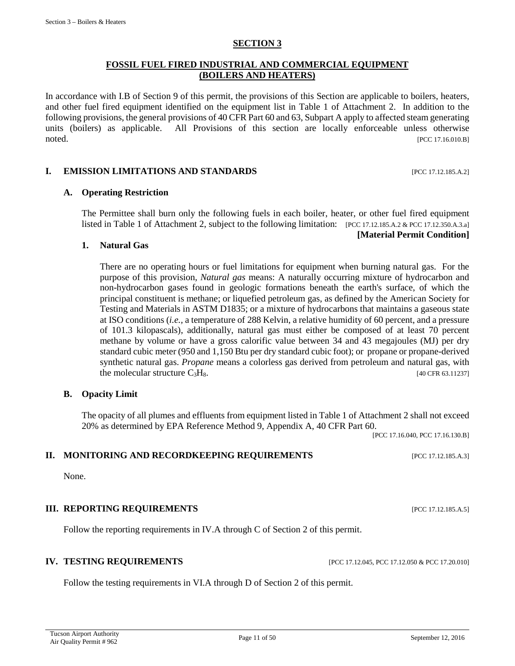#### **SECTION 3**

#### **FOSSIL FUEL FIRED INDUSTRIAL AND COMMERCIAL EQUIPMENT (BOILERS AND HEATERS)**

In accordance with I.B of Section 9 of this permit, the provisions of this Section are applicable to boilers, heaters, and other fuel fired equipment identified on the equipment list in Table 1 of Attachment 2. In addition to the following provisions, the general provisions of 40 CFR Part 60 and 63, Subpart A apply to affected steam generating units (boilers) as applicable. All Provisions of this section are locally enforceable unless otherwise noted. [PCC 17.16.010.B]

#### **I. EMISSION LIMITATIONS AND STANDARDS** [PCC 17.12.185.A.2]

#### **A. Operating Restriction**

The Permittee shall burn only the following fuels in each boiler, heater, or other fuel fired equipment listed in Table 1 of Attachment 2, subject to the following limitation: [PCC 17.12.185.A.2 & PCC 17.12.350.A.3.a]

#### **[Material Permit Condition]**

#### **1. Natural Gas**

There are no operating hours or fuel limitations for equipment when burning natural gas. For the purpose of this provision, *Natural gas* means: A naturally occurring mixture of hydrocarbon and non-hydrocarbon gases found in geologic formations beneath the earth's surface, of which the principal constituent is methane; or liquefied petroleum gas, as defined by the American Society for Testing and Materials in ASTM D1835; or a mixture of hydrocarbons that maintains a gaseous state at ISO conditions (*i.e.,* a temperature of 288 Kelvin, a relative humidity of 60 percent, and a pressure of 101.3 kilopascals), additionally, natural gas must either be composed of at least 70 percent methane by volume or have a gross calorific value between 34 and 43 megajoules (MJ) per dry standard cubic meter (950 and 1,150 Btu per dry standard cubic foot); or propane or propane-derived synthetic natural gas. *Propane* means a colorless gas derived from petroleum and natural gas, with the molecular structure  $C_3H_8$ . [40 CFR 63.11237]

#### **B. Opacity Limit**

The opacity of all plumes and effluents from equipment listed in Table 1 of Attachment 2 shall not exceed 20% as determined by EPA Reference Method 9, Appendix A, 40 CFR Part 60.

[PCC 17.16.040, PCC 17.16.130.B]

# **II. MONITORING AND RECORDKEEPING REQUIREMENTS** [PCC 17.12.185.A.3]

# **III. REPORTING REQUIREMENTS** [PCC 17.12.185.A.5]

Follow the reporting requirements in IV.A through C of Section 2 of this permit.

# **IV. TESTING REQUIREMENTS** [PCC 17.12.045, PCC 17.12.050 & PCC 17.20.010]

Follow the testing requirements in VI.A through D of Section 2 of this permit.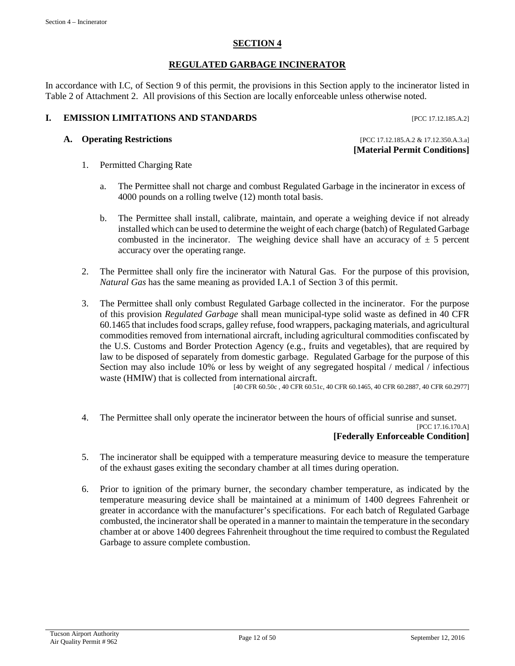## **SECTION 4**

# **REGULATED GARBAGE INCINERATOR**

In accordance with I.C, of Section 9 of this permit, the provisions in this Section apply to the incinerator listed in Table 2 of Attachment 2. All provisions of this Section are locally enforceable unless otherwise noted.

# **I. EMISSION LIMITATIONS AND STANDARDS** [PCC 17.12.185.A.2]

**A. Operating Restrictions** [PCC 17.12.185.A.2 & 17.12.350.A.3.a]

**[Material Permit Conditions]**

- 1. Permitted Charging Rate
	- a. The Permittee shall not charge and combust Regulated Garbage in the incinerator in excess of 4000 pounds on a rolling twelve (12) month total basis.
	- b. The Permittee shall install, calibrate, maintain, and operate a weighing device if not already installed which can be used to determine the weight of each charge (batch) of Regulated Garbage combusted in the incinerator. The weighing device shall have an accuracy of  $\pm$  5 percent accuracy over the operating range.
- 2. The Permittee shall only fire the incinerator with Natural Gas. For the purpose of this provision, *Natural Gas* has the same meaning as provided I.A.1 of Section 3 of this permit.
- 3. The Permittee shall only combust Regulated Garbage collected in the incinerator. For the purpose of this provision *Regulated Garbage* shall mean municipal-type solid waste as defined in 40 CFR 60.1465 that includes food scraps, galley refuse, food wrappers, packaging materials, and agricultural commodities removed from international aircraft, including agricultural commodities confiscated by the U.S. Customs and Border Protection Agency (e.g., fruits and vegetables), that are required by law to be disposed of separately from domestic garbage. Regulated Garbage for the purpose of this Section may also include 10% or less by weight of any segregated hospital / medical / infectious waste (HMIW) that is collected from international aircraft.

[40 CFR 60.50c , 40 CFR 60.51c, 40 CFR 60.1465, 40 CFR 60.2887, 40 CFR 60.2977]

- 4. The Permittee shall only operate the incinerator between the hours of official sunrise and sunset. [PCC 17.16.170.A] **[Federally Enforceable Condition]**
- 5. The incinerator shall be equipped with a temperature measuring device to measure the temperature of the exhaust gases exiting the secondary chamber at all times during operation.
- 6. Prior to ignition of the primary burner, the secondary chamber temperature, as indicated by the temperature measuring device shall be maintained at a minimum of 1400 degrees Fahrenheit or greater in accordance with the manufacturer's specifications. For each batch of Regulated Garbage combusted, the incinerator shall be operated in a manner to maintain the temperature in the secondary chamber at or above 1400 degrees Fahrenheit throughout the time required to combust the Regulated Garbage to assure complete combustion.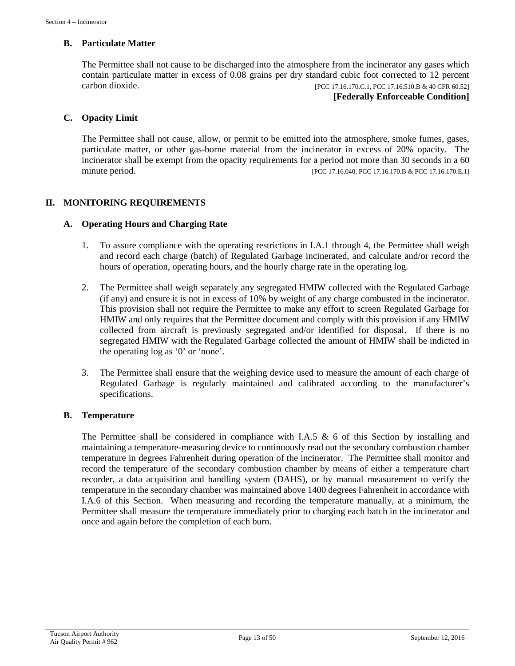#### **B. Particulate Matter**

The Permittee shall not cause to be discharged into the atmosphere from the incinerator any gases which contain particulate matter in excess of 0.08 grains per dry standard cubic foot corrected to 12 percent carbon dioxide. [PCC 17.16.170.C.1, PCC 17.16.510.B & 40 CFR 60.52]

**[Federally Enforceable Condition]**

# **C. Opacity Limit**

The Permittee shall not cause, allow, or permit to be emitted into the atmosphere, smoke fumes, gases, particulate matter, or other gas-borne material from the incinerator in excess of 20% opacity. The incinerator shall be exempt from the opacity requirements for a period not more than 30 seconds in a 60 minute period. [PCC 17.16.040, PCC 17.16.170.B & PCC 17.16.170.E.1]

# **II. MONITORING REQUIREMENTS**

#### **A. Operating Hours and Charging Rate**

- 1. To assure compliance with the operating restrictions in I.A.1 through 4, the Permittee shall weigh and record each charge (batch) of Regulated Garbage incinerated, and calculate and/or record the hours of operation, operating hours, and the hourly charge rate in the operating log.
- 2. The Permittee shall weigh separately any segregated HMIW collected with the Regulated Garbage (if any) and ensure it is not in excess of 10% by weight of any charge combusted in the incinerator. This provision shall not require the Permittee to make any effort to screen Regulated Garbage for HMIW and only requires that the Permittee document and comply with this provision if any HMIW collected from aircraft is previously segregated and/or identified for disposal. If there is no segregated HMIW with the Regulated Garbage collected the amount of HMIW shall be indicted in the operating log as '0' or 'none'.
- 3. The Permittee shall ensure that the weighing device used to measure the amount of each charge of Regulated Garbage is regularly maintained and calibrated according to the manufacturer's specifications.

#### **B. Temperature**

The Permittee shall be considered in compliance with I.A.5  $\&$  6 of this Section by installing and maintaining a temperature-measuring device to continuously read out the secondary combustion chamber temperature in degrees Fahrenheit during operation of the incinerator. The Permittee shall monitor and record the temperature of the secondary combustion chamber by means of either a temperature chart recorder, a data acquisition and handling system (DAHS), or by manual measurement to verify the temperature in the secondary chamber was maintained above 1400 degrees Fahrenheit in accordance with I.A.6 of this Section. When measuring and recording the temperature manually, at a minimum, the Permittee shall measure the temperature immediately prior to charging each batch in the incinerator and once and again before the completion of each burn.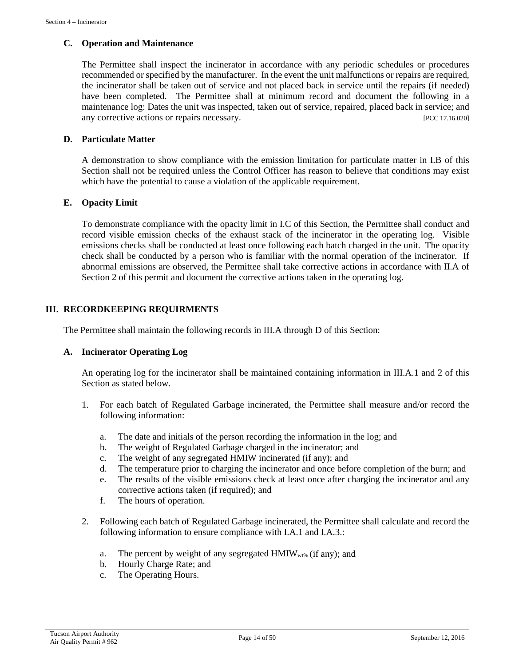#### **C. Operation and Maintenance**

The Permittee shall inspect the incinerator in accordance with any periodic schedules or procedures recommended or specified by the manufacturer. In the event the unit malfunctions or repairs are required, the incinerator shall be taken out of service and not placed back in service until the repairs (if needed) have been completed. The Permittee shall at minimum record and document the following in a maintenance log: Dates the unit was inspected, taken out of service, repaired, placed back in service; and any corrective actions or repairs necessary. [PCC 17.16.020]

### **D. Particulate Matter**

A demonstration to show compliance with the emission limitation for particulate matter in I.B of this Section shall not be required unless the Control Officer has reason to believe that conditions may exist which have the potential to cause a violation of the applicable requirement.

### **E. Opacity Limit**

To demonstrate compliance with the opacity limit in I.C of this Section, the Permittee shall conduct and record visible emission checks of the exhaust stack of the incinerator in the operating log. Visible emissions checks shall be conducted at least once following each batch charged in the unit. The opacity check shall be conducted by a person who is familiar with the normal operation of the incinerator. If abnormal emissions are observed, the Permittee shall take corrective actions in accordance with II.A of Section 2 of this permit and document the corrective actions taken in the operating log.

### **III. RECORDKEEPING REQUIRMENTS**

The Permittee shall maintain the following records in III.A through D of this Section:

#### **A. Incinerator Operating Log**

An operating log for the incinerator shall be maintained containing information in III.A.1 and 2 of this Section as stated below.

- 1. For each batch of Regulated Garbage incinerated, the Permittee shall measure and/or record the following information:
	- a. The date and initials of the person recording the information in the log; and
	- b. The weight of Regulated Garbage charged in the incinerator; and
	- c. The weight of any segregated HMIW incinerated (if any); and
	- d. The temperature prior to charging the incinerator and once before completion of the burn; and
	- e. The results of the visible emissions check at least once after charging the incinerator and any corrective actions taken (if required); and
	- f. The hours of operation.
- 2. Following each batch of Regulated Garbage incinerated, the Permittee shall calculate and record the following information to ensure compliance with I.A.1 and I.A.3.:
	- a. The percent by weight of any segregated  $HMIW<sub>wt%</sub>$  (if any); and
	- b. Hourly Charge Rate; and
	- c. The Operating Hours.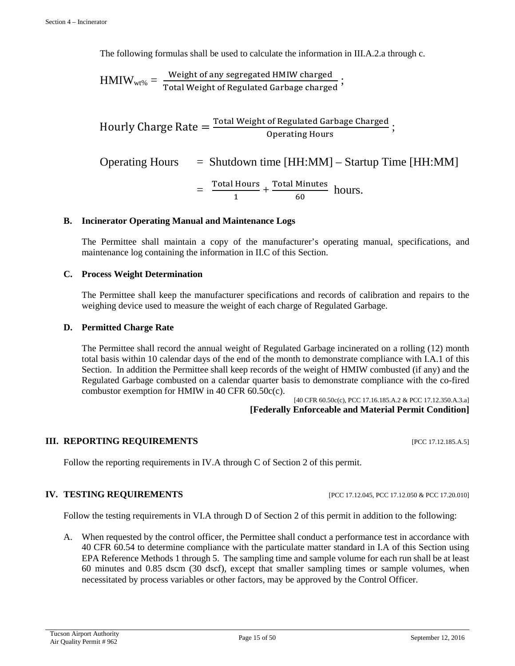The following formulas shall be used to calculate the information in III.A.2.a through c.

$$
HMIW_{wt\%} = \frac{Weight\ of\ any\ segregated\ HMIW\ charged}{Total\ Weight\ of\ Regulated\ Garbage\ charged};
$$

Hourly Charge Rate  $=$   $\frac{\text{Total Weight of Required} }{\text{O}}$ Operating Hours

Operating Hours  $=$  Shutdown time  $[HH:MM] -$ Startup Time  $[HH:MM]$ 

$$
= \frac{\text{Total Hours}}{1} + \frac{\text{Total Minutes}}{60} \text{ hours.}
$$

#### **B. Incinerator Operating Manual and Maintenance Logs**

The Permittee shall maintain a copy of the manufacturer's operating manual, specifications, and maintenance log containing the information in II.C of this Section.

#### **C. Process Weight Determination**

The Permittee shall keep the manufacturer specifications and records of calibration and repairs to the weighing device used to measure the weight of each charge of Regulated Garbage.

#### **D. Permitted Charge Rate**

The Permittee shall record the annual weight of Regulated Garbage incinerated on a rolling (12) month total basis within 10 calendar days of the end of the month to demonstrate compliance with I.A.1 of this Section. In addition the Permittee shall keep records of the weight of HMIW combusted (if any) and the Regulated Garbage combusted on a calendar quarter basis to demonstrate compliance with the co-fired combustor exemption for HMIW in 40 CFR 60.50c(c).

[40 CFR 60.50c(c), PCC 17.16.185.A.2 & PCC 17.12.350.A.3.a] **[Federally Enforceable and Material Permit Condition]**

#### **III. REPORTING REQUIREMENTS** [PCC 17.12.185.A.5]

Follow the reporting requirements in IV.A through C of Section 2 of this permit.

#### **IV. TESTING REQUIREMENTS** [PCC 17.12.045, PCC 17.12.050 & PCC 17.20.010]

Follow the testing requirements in VI.A through D of Section 2 of this permit in addition to the following:

A. When requested by the control officer, the Permittee shall conduct a performance test in accordance with 40 CFR 60.54 to determine compliance with the particulate matter standard in I.A of this Section using EPA Reference Methods 1 through 5. The sampling time and sample volume for each run shall be at least 60 minutes and 0.85 dscm (30 dscf), except that smaller sampling times or sample volumes, when necessitated by process variables or other factors, may be approved by the Control Officer.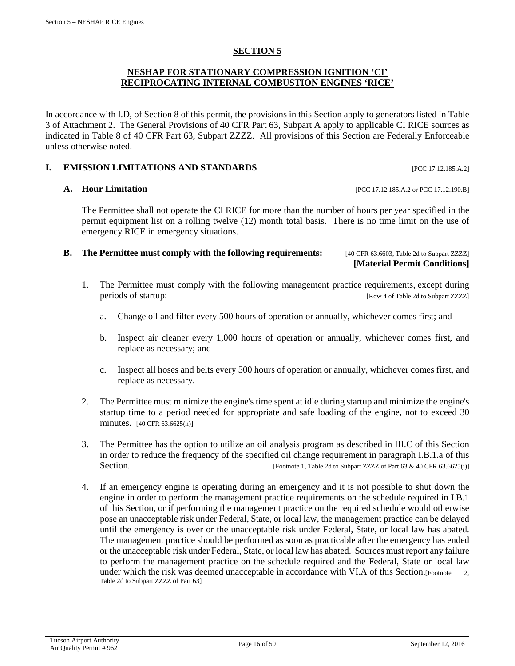# **SECTION 5**

#### **NESHAP FOR STATIONARY COMPRESSION IGNITION 'CI' RECIPROCATING INTERNAL COMBUSTION ENGINES 'RICE'**

In accordance with I.D, of Section 8 of this permit, the provisions in this Section apply to generators listed in Table 3 of Attachment 2. The General Provisions of 40 CFR Part 63, Subpart A apply to applicable CI RICE sources as indicated in Table 8 of 40 CFR Part 63, Subpart ZZZZ. All provisions of this Section are Federally Enforceable unless otherwise noted.

#### **I. EMISSION LIMITATIONS AND STANDARDS** [PCC 17.12.185.A.2]

#### **A. Hour Limitation interval in the set of the set of the set of the set of PCC 17.12.185.A.2 or PCC 17.12.190.B]**

The Permittee shall not operate the CI RICE for more than the number of hours per year specified in the permit equipment list on a rolling twelve (12) month total basis. There is no time limit on the use of emergency RICE in emergency situations.

#### **B.** The Permittee must comply with the following requirements: [40 CFR 63.6603, Table 2d to Subpart ZZZZ]

**[Material Permit Conditions]**

- 1. The Permittee must comply with the following management practice requirements, except during periods of startup: [Row 4 of Table 2d to Subpart ZZZZ]
	- a. Change oil and filter every 500 hours of operation or annually, whichever comes first; and
	- b. Inspect air cleaner every 1,000 hours of operation or annually, whichever comes first, and replace as necessary; and
	- c. Inspect all hoses and belts every 500 hours of operation or annually, whichever comes first, and replace as necessary.
- 2. The Permittee must minimize the engine's time spent at idle during startup and minimize the engine's startup time to a period needed for appropriate and safe loading of the engine, not to exceed 30 minutes. [40 CFR 63.6625(h)]
- 3. The Permittee has the option to utilize an oil analysis program as described in III.C of this Section in order to reduce the frequency of the specified oil change requirement in paragraph I.B.1.a of this Section. [Footnote 1, Table 2d to Subpart ZZZZ of Part 63 & 40 CFR 63.6625(i)]
- 4. If an emergency engine is operating during an emergency and it is not possible to shut down the engine in order to perform the management practice requirements on the schedule required in I.B.1 of this Section, or if performing the management practice on the required schedule would otherwise pose an unacceptable risk under Federal, State, or local law, the management practice can be delayed until the emergency is over or the unacceptable risk under Federal, State, or local law has abated. The management practice should be performed as soon as practicable after the emergency has ended or the unacceptable risk under Federal, State, or local law has abated. Sources must report any failure to perform the management practice on the schedule required and the Federal, State or local law under which the risk was deemed unacceptable in accordance with VI.A of this Section.[Footnote 2, Table 2d to Subpart ZZZZ of Part 63]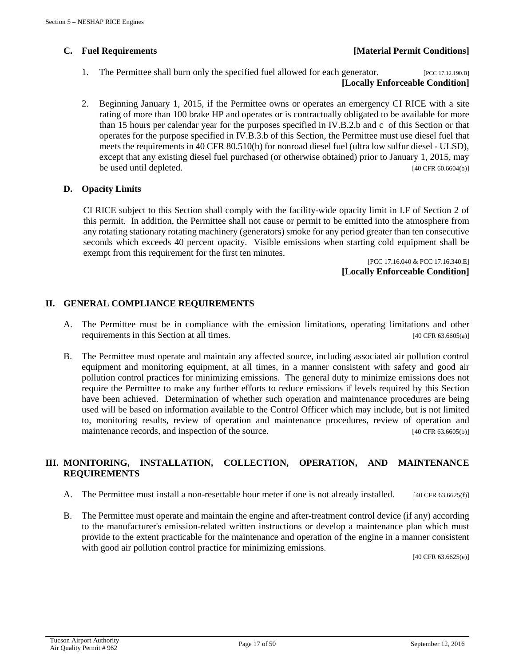# **C. Fuel Requirements [Material Permit Conditions]**

- 1. The Permittee shall burn only the specified fuel allowed for each generator. [PCC 17.12.190.B] **[Locally Enforceable Condition]**
- 2. Beginning January 1, 2015, if the Permittee owns or operates an emergency CI RICE with a site rating of more than 100 brake HP and operates or is contractually obligated to be available for more than 15 hours per calendar year for the purposes specified in IV.B.2.b and c of this Section or that operates for the purpose specified in IV.B.3.b of this Section, the Permittee must use diesel fuel that meets the requirements in 40 CFR 80.510(b) for nonroad diesel fuel (ultra low sulfur diesel - ULSD), except that any existing diesel fuel purchased (or otherwise obtained) prior to January 1, 2015, may be used until depleted. [40 CFR 60.6604(b)] [40 CFR 60.6604(b)]

# **D. Opacity Limits**

CI RICE subject to this Section shall comply with the facility-wide opacity limit in I.F of Section 2 of this permit. In addition, the Permittee shall not cause or permit to be emitted into the atmosphere from any rotating stationary rotating machinery (generators) smoke for any period greater than ten consecutive seconds which exceeds 40 percent opacity. Visible emissions when starting cold equipment shall be exempt from this requirement for the first ten minutes.

[PCC 17.16.040 & PCC 17.16.340.E] **[Locally Enforceable Condition]**

# **II. GENERAL COMPLIANCE REQUIREMENTS**

- A. The Permittee must be in compliance with the emission limitations, operating limitations and other requirements in this Section at all times. [40 CFR 63.6605(a)]
- B. The Permittee must operate and maintain any affected source, including associated air pollution control equipment and monitoring equipment, at all times, in a manner consistent with safety and good air pollution control practices for minimizing emissions. The general duty to minimize emissions does not require the Permittee to make any further efforts to reduce emissions if levels required by this Section have been achieved. Determination of whether such operation and maintenance procedures are being used will be based on information available to the Control Officer which may include, but is not limited to, monitoring results, review of operation and maintenance procedures, review of operation and maintenance records, and inspection of the source. [40 CFR 63.6605(b)]

# **III. MONITORING, INSTALLATION, COLLECTION, OPERATION, AND MAINTENANCE REQUIREMENTS**

- A. The Permittee must install a non-resettable hour meter if one is not already installed.  $[40 \text{ CFR } 63.6625(f)]$
- B. The Permittee must operate and maintain the engine and after-treatment control device (if any) according to the manufacturer's emission-related written instructions or develop a maintenance plan which must provide to the extent practicable for the maintenance and operation of the engine in a manner consistent with good air pollution control practice for minimizing emissions.

[40 CFR 63.6625(e)]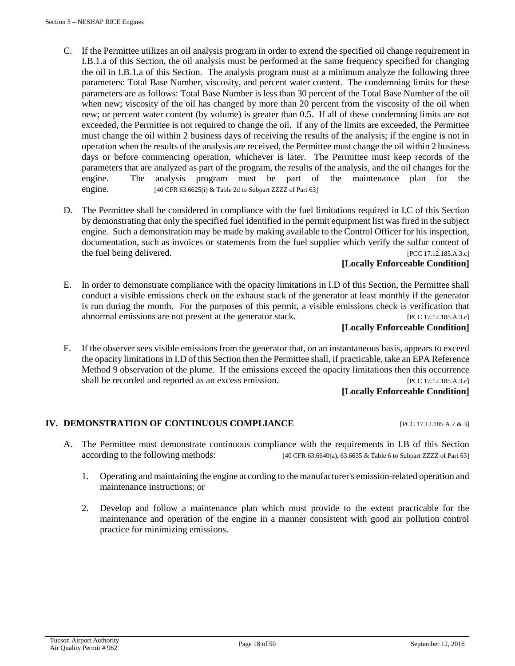- C. If the Permittee utilizes an oil analysis program in order to extend the specified oil change requirement in I.B.1.a of this Section, the oil analysis must be performed at the same frequency specified for changing the oil in I.B.1.a of this Section. The analysis program must at a minimum analyze the following three parameters: Total Base Number, viscosity, and percent water content. The condemning limits for these parameters are as follows: Total Base Number is less than 30 percent of the Total Base Number of the oil when new; viscosity of the oil has changed by more than 20 percent from the viscosity of the oil when new; or percent water content (by volume) is greater than 0.5. If all of these condemning limits are not exceeded, the Permittee is not required to change the oil. If any of the limits are exceeded, the Permittee must change the oil within 2 business days of receiving the results of the analysis; if the engine is not in operation when the results of the analysis are received, the Permittee must change the oil within 2 business days or before commencing operation, whichever is later. The Permittee must keep records of the parameters that are analyzed as part of the program, the results of the analysis, and the oil changes for the engine. The analysis program must be part of the maintenance plan for the engine. [40 CFR 63.6625(i) & Table 2d to Subpart ZZZZ of Part 63]
- D. The Permittee shall be considered in compliance with the fuel limitations required in I.C of this Section by demonstrating that only the specified fuel identified in the permit equipment list was fired in the subject engine. Such a demonstration may be made by making available to the Control Officer for his inspection, documentation, such as invoices or statements from the fuel supplier which verify the sulfur content of the fuel being delivered. [PCC 17.12.185.A.3.c]

### **[Locally Enforceable Condition]**

E. In order to demonstrate compliance with the opacity limitations in I.D of this Section, the Permittee shall conduct a visible emissions check on the exhaust stack of the generator at least monthly if the generator is run during the month. For the purposes of this permit, a visible emissions check is verification that abnormal emissions are not present at the generator stack. [PCC 17.12.185.A.3.c]

### **[Locally Enforceable Condition]**

F. If the observer sees visible emissions from the generator that, on an instantaneous basis, appears to exceed the opacity limitations in I.D of this Section then the Permittee shall, if practicable, take an EPA Reference Method 9 observation of the plume. If the emissions exceed the opacity limitations then this occurrence shall be recorded and reported as an excess emission. [PCC 17.12.185.A.3.c]

#### **[Locally Enforceable Condition]**

#### **IV. DEMONSTRATION OF CONTINUOUS COMPLIANCE** [PCC 17.12.185.A.2 & 3]

- A. The Permittee must demonstrate continuous compliance with the requirements in I.B of this Section according to the following methods: [40 CFR 63.6640(a), 63.6635 & Table 6 to Subpart ZZZZ of Part 63]
	- 1. Operating and maintaining the engine according to the manufacturer's emission-related operation and maintenance instructions; or
	- 2. Develop and follow a maintenance plan which must provide to the extent practicable for the maintenance and operation of the engine in a manner consistent with good air pollution control practice for minimizing emissions.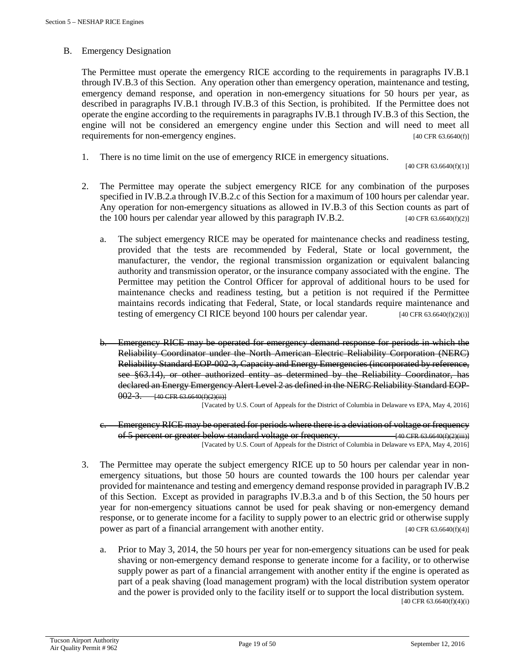#### B. Emergency Designation

The Permittee must operate the emergency RICE according to the requirements in paragraphs IV.B.1 through IV.B.3 of this Section. Any operation other than emergency operation, maintenance and testing, emergency demand response, and operation in non-emergency situations for 50 hours per year, as described in paragraphs IV.B.1 through IV.B.3 of this Section, is prohibited. If the Permittee does not operate the engine according to the requirements in paragraphs IV.B.1 through IV.B.3 of this Section, the engine will not be considered an emergency engine under this Section and will need to meet all requirements for non-emergency engines. [40 CFR 63.6640(f)]

1. There is no time limit on the use of emergency RICE in emergency situations.

[40 CFR 63.6640(f)(1)]

- 2. The Permittee may operate the subject emergency RICE for any combination of the purposes specified in IV.B.2.a through IV.B.2.c of this Section for a maximum of 100 hours per calendar year. Any operation for non-emergency situations as allowed in IV.B.3 of this Section counts as part of the 100 hours per calendar year allowed by this paragraph IV.B.2.  $[40 \text{ CFR } 63.6640(\text{f})(2)]$ 
	- a. The subject emergency RICE may be operated for maintenance checks and readiness testing, provided that the tests are recommended by Federal, State or local government, the manufacturer, the vendor, the regional transmission organization or equivalent balancing authority and transmission operator, or the insurance company associated with the engine. The Permittee may petition the Control Officer for approval of additional hours to be used for maintenance checks and readiness testing, but a petition is not required if the Permittee maintains records indicating that Federal, State, or local standards require maintenance and testing of emergency CI RICE beyond 100 hours per calendar year.  $[40 \text{ CFR } 63.6640 \text{ (f)}(2) \text{ (i)}]$
	- b. Emergency RICE may be operated for emergency demand response for periods in which the Reliability Coordinator under the North American Electric Reliability Corporation (NERC) Reliability Standard EOP-002-3, Capacity and Energy Emergencies (incorporated by reference, see §63.14), or other authorized entity as determined by the Reliability Coordinator, has declared an Energy Emergency Alert Level 2 as defined in the NERC Reliability Standard EOP- $002-3.$  [40 CFR 63.6640(f)(2)(ii)]

[Vacated by U.S. Court of Appeals for the District of Columbia in Delaware vs EPA, May 4, 2016]

- c. Emergency RICE may be operated for periods where there is a deviation of voltage or frequency of 5 percent or greater below standard voltage or frequency. [40 CFR 63.6640(f)(2)(iii)] [Vacated by U.S. Court of Appeals for the District of Columbia in Delaware vs EPA, May 4, 2016]
- 3. The Permittee may operate the subject emergency RICE up to 50 hours per calendar year in nonemergency situations, but those 50 hours are counted towards the 100 hours per calendar year provided for maintenance and testing and emergency demand response provided in paragraph IV.B.2 of this Section. Except as provided in paragraphs IV.B.3.a and b of this Section, the 50 hours per year for non-emergency situations cannot be used for peak shaving or non-emergency demand response, or to generate income for a facility to supply power to an electric grid or otherwise supply power as part of a financial arrangement with another entity. [40 CFR 63.6640(f)(4)]
	- a. Prior to May 3, 2014, the 50 hours per year for non-emergency situations can be used for peak shaving or non-emergency demand response to generate income for a facility, or to otherwise supply power as part of a financial arrangement with another entity if the engine is operated as part of a peak shaving (load management program) with the local distribution system operator and the power is provided only to the facility itself or to support the local distribution system.

[40 CFR 63.6640(f)(4)(i)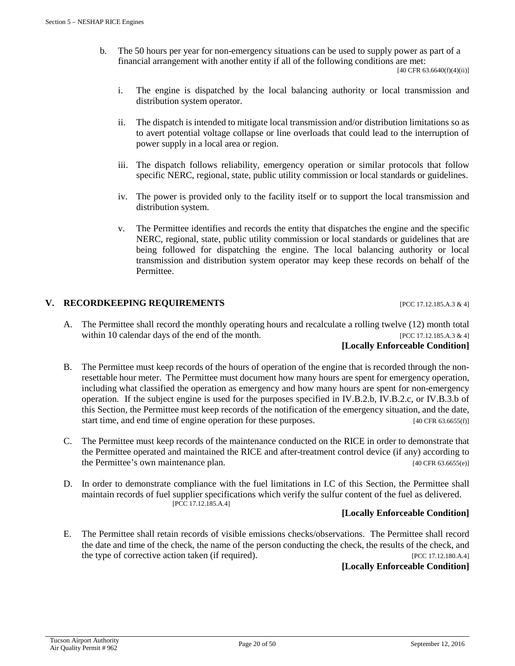b. The 50 hours per year for non-emergency situations can be used to supply power as part of a financial arrangement with another entity if all of the following conditions are met:

[40 CFR 63.6640(f)(4)(ii)]

- i. The engine is dispatched by the local balancing authority or local transmission and distribution system operator.
- ii. The dispatch is intended to mitigate local transmission and/or distribution limitations so as to avert potential voltage collapse or line overloads that could lead to the interruption of power supply in a local area or region.
- iii. The dispatch follows reliability, emergency operation or similar protocols that follow specific NERC, regional, state, public utility commission or local standards or guidelines.
- iv. The power is provided only to the facility itself or to support the local transmission and distribution system.
- v. The Permittee identifies and records the entity that dispatches the engine and the specific NERC, regional, state, public utility commission or local standards or guidelines that are being followed for dispatching the engine. The local balancing authority or local transmission and distribution system operator may keep these records on behalf of the Permittee.

# **V. RECORDKEEPING REQUIREMENTS** [PCC 17.12.185.A.3 & 4]

A. The Permittee shall record the monthly operating hours and recalculate a rolling twelve (12) month total within 10 calendar days of the end of the month. [PCC 17.12.185.A.3  $\&$  4]

#### **[Locally Enforceable Condition]**

- B. The Permittee must keep records of the hours of operation of the engine that is recorded through the nonresettable hour meter. The Permittee must document how many hours are spent for emergency operation, including what classified the operation as emergency and how many hours are spent for non-emergency operation. If the subject engine is used for the purposes specified in IV.B.2.b, IV.B.2.c, or IV.B.3.b of this Section, the Permittee must keep records of the notification of the emergency situation, and the date, start time, and end time of engine operation for these purposes. [40 CFR 63.6655(f)]
- C. The Permittee must keep records of the maintenance conducted on the RICE in order to demonstrate that the Permittee operated and maintained the RICE and after-treatment control device (if any) according to the Permittee's own maintenance plan. [40 CFR 63.6655(e)]
- D. In order to demonstrate compliance with the fuel limitations in I.C of this Section, the Permittee shall maintain records of fuel supplier specifications which verify the sulfur content of the fuel as delivered. [PCC 17.12.185.A.4]

# **[Locally Enforceable Condition]**

E. The Permittee shall retain records of visible emissions checks/observations. The Permittee shall record the date and time of the check, the name of the person conducting the check, the results of the check, and the type of corrective action taken (if required). [PCC 17.12.180.A.4]

# **[Locally Enforceable Condition]**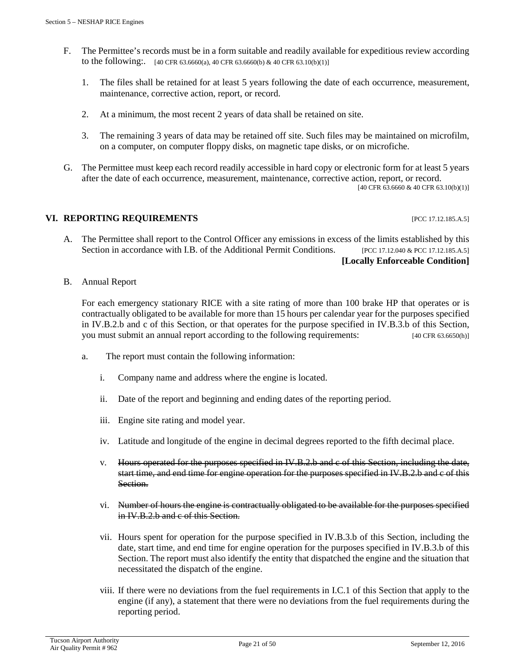- F. The Permittee's records must be in a form suitable and readily available for expeditious review according to the following:  $[40 \text{ CFR } 63.6660(a), 40 \text{ CFR } 63.6660(b) \& 40 \text{ CFR } 63.10(b)(1)]$ 
	- 1. The files shall be retained for at least 5 years following the date of each occurrence, measurement, maintenance, corrective action, report, or record.
	- 2. At a minimum, the most recent 2 years of data shall be retained on site.
	- 3. The remaining 3 years of data may be retained off site. Such files may be maintained on microfilm, on a computer, on computer floppy disks, on magnetic tape disks, or on microfiche.
- G. The Permittee must keep each record readily accessible in hard copy or electronic form for at least 5 years after the date of each occurrence, measurement, maintenance, corrective action, report, or record. [40 CFR 63.6660 & 40 CFR 63.10(b)(1)]

### **VI. REPORTING REQUIREMENTS INCLUSION CONTROLLER TO A PICC 17.12.185.A.5]**

- A. The Permittee shall report to the Control Officer any emissions in excess of the limits established by this Section in accordance with I.B. of the Additional Permit Conditions. [PCC 17.12.040 & PCC 17.12.185.A.5] **[Locally Enforceable Condition]**
- B. Annual Report

For each emergency stationary RICE with a site rating of more than 100 brake HP that operates or is contractually obligated to be available for more than 15 hours per calendar year for the purposes specified in IV.B.2.b and c of this Section, or that operates for the purpose specified in IV.B.3.b of this Section, you must submit an annual report according to the following requirements: [40 CFR 63.6650(h)]

- a. The report must contain the following information:
	- i. Company name and address where the engine is located.
	- ii. Date of the report and beginning and ending dates of the reporting period.
	- iii. Engine site rating and model year.
	- iv. Latitude and longitude of the engine in decimal degrees reported to the fifth decimal place.
	- v. Hours operated for the purposes specified in IV.B.2.b and c of this Section, including the date, start time, and end time for engine operation for the purposes specified in IV.B.2.b and c of this Section.
	- vi. Number of hours the engine is contractually obligated to be available for the purposes specified in IV.B.2.b and c of this Section.
	- vii. Hours spent for operation for the purpose specified in IV.B.3.b of this Section, including the date, start time, and end time for engine operation for the purposes specified in IV.B.3.b of this Section. The report must also identify the entity that dispatched the engine and the situation that necessitated the dispatch of the engine.
	- viii. If there were no deviations from the fuel requirements in I.C.1 of this Section that apply to the engine (if any), a statement that there were no deviations from the fuel requirements during the reporting period.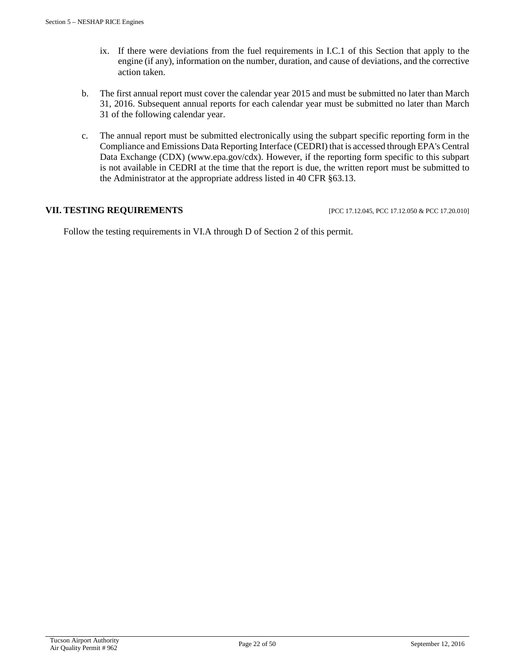- ix. If there were deviations from the fuel requirements in I.C.1 of this Section that apply to the engine (if any), information on the number, duration, and cause of deviations, and the corrective action taken.
- b. The first annual report must cover the calendar year 2015 and must be submitted no later than March 31, 2016. Subsequent annual reports for each calendar year must be submitted no later than March 31 of the following calendar year.
- c. The annual report must be submitted electronically using the subpart specific reporting form in the Compliance and Emissions Data Reporting Interface (CEDRI) that is accessed through EPA's Central Data Exchange (CDX) (www.epa.gov/cdx). However, if the reporting form specific to this subpart is not available in CEDRI at the time that the report is due, the written report must be submitted to the Administrator at the appropriate address listed in 40 CFR §63.13.

### **VII. TESTING REQUIREMENTS** [PCC 17.12.045, PCC 17.12.050 & PCC 17.20.010]

Follow the testing requirements in VI.A through D of Section 2 of this permit.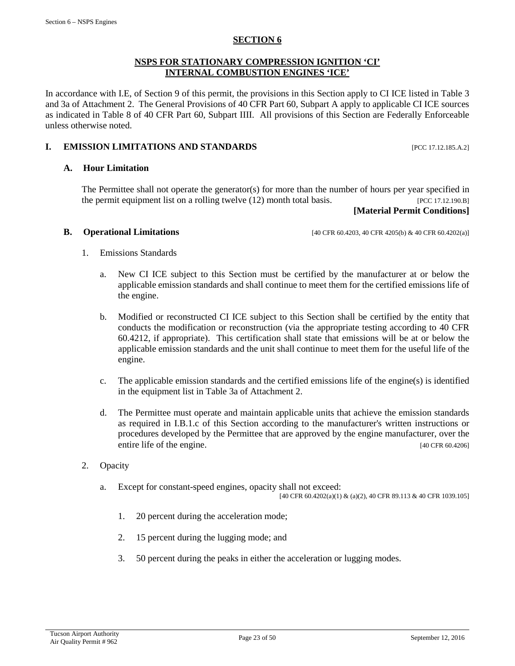#### **SECTION 6**

#### **NSPS FOR STATIONARY COMPRESSION IGNITION 'CI' INTERNAL COMBUSTION ENGINES 'ICE'**

In accordance with I.E, of Section 9 of this permit, the provisions in this Section apply to CI ICE listed in Table 3 and 3a of Attachment 2. The General Provisions of 40 CFR Part 60, Subpart A apply to applicable CI ICE sources as indicated in Table 8 of 40 CFR Part 60, Subpart IIII. All provisions of this Section are Federally Enforceable unless otherwise noted.

#### **I. EMISSION LIMITATIONS AND STANDARDS** [PCC 17.12.185.A.2]

#### **A. Hour Limitation**

The Permittee shall not operate the generator(s) for more than the number of hours per year specified in the permit equipment list on a rolling twelve  $(12)$  month total basis. [PCC 17.12.190.B]

#### **[Material Permit Conditions]**

**B. Operational Limitations** [40 CFR 60.4203, 40 CFR 4205(b) & 40 CFR 60.4202(a)]

- 1. Emissions Standards
	- a. New CI ICE subject to this Section must be certified by the manufacturer at or below the applicable emission standards and shall continue to meet them for the certified emissions life of the engine.
	- b. Modified or reconstructed CI ICE subject to this Section shall be certified by the entity that conducts the modification or reconstruction (via the appropriate testing according to 40 CFR 60.4212, if appropriate). This certification shall state that emissions will be at or below the applicable emission standards and the unit shall continue to meet them for the useful life of the engine.
	- c. The applicable emission standards and the certified emissions life of the engine(s) is identified in the equipment list in Table 3a of Attachment 2.
	- d. The Permittee must operate and maintain applicable units that achieve the emission standards as required in I.B.1.c of this Section according to the manufacturer's written instructions or procedures developed by the Permittee that are approved by the engine manufacturer, over the entire life of the engine. [40 CFR 60.4206]
- 2. Opacity
	- a. Except for constant-speed engines, opacity shall not exceed:

[40 CFR 60.4202(a)(1) & (a)(2), 40 CFR 89.113 & 40 CFR 1039.105]

- 1. 20 percent during the acceleration mode;
- 2. 15 percent during the lugging mode; and
- 3. 50 percent during the peaks in either the acceleration or lugging modes.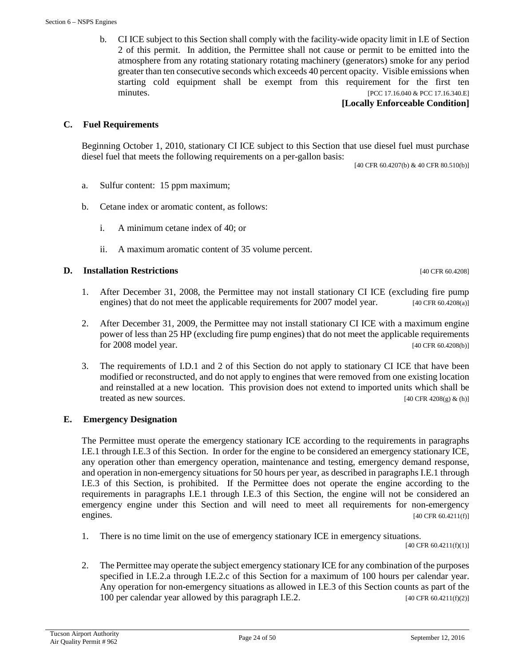b. CI ICE subject to this Section shall comply with the facility-wide opacity limit in I.E of Section 2 of this permit. In addition, the Permittee shall not cause or permit to be emitted into the atmosphere from any rotating stationary rotating machinery (generators) smoke for any period greater than ten consecutive seconds which exceeds 40 percent opacity. Visible emissions when starting cold equipment shall be exempt from this requirement for the first ten minutes. [PCC 17.16.040 & PCC 17.16.340.E]

#### **[Locally Enforceable Condition]**

#### **C. Fuel Requirements**

Beginning October 1, 2010, stationary CI ICE subject to this Section that use diesel fuel must purchase diesel fuel that meets the following requirements on a per-gallon basis:

[40 CFR 60.4207(b) & 40 CFR 80.510(b)]

- a. Sulfur content: 15 ppm maximum;
- b. Cetane index or aromatic content, as follows:
	- i. A minimum cetane index of 40; or
	- ii. A maximum aromatic content of 35 volume percent.

#### **D. Installation Restrictions** [40 CFR 60.4208]

- 1. After December 31, 2008, the Permittee may not install stationary CI ICE (excluding fire pump engines) that do not meet the applicable requirements for 2007 model year. [40 CFR 60.4208(a)]
- 2. After December 31, 2009, the Permittee may not install stationary CI ICE with a maximum engine power of less than 25 HP (excluding fire pump engines) that do not meet the applicable requirements for 2008 model year. [40 CFR 60.4208(b)]
- 3. The requirements of I.D.1 and 2 of this Section do not apply to stationary CI ICE that have been modified or reconstructed, and do not apply to engines that were removed from one existing location and reinstalled at a new location. This provision does not extend to imported units which shall be treated as new sources.  $[40 \text{ CFR } 4208 \text{ (g)} \& \text{(h)}]$

#### **E. Emergency Designation**

The Permittee must operate the emergency stationary ICE according to the requirements in paragraphs I.E.1 through I.E.3 of this Section. In order for the engine to be considered an emergency stationary ICE, any operation other than emergency operation, maintenance and testing, emergency demand response, and operation in non-emergency situations for 50 hours per year, as described in paragraphs I.E.1 through I.E.3 of this Section, is prohibited. If the Permittee does not operate the engine according to the requirements in paragraphs I.E.1 through I.E.3 of this Section, the engine will not be considered an emergency engine under this Section and will need to meet all requirements for non-emergency engines. [40 CFR 60.4211(f)]

1. There is no time limit on the use of emergency stationary ICE in emergency situations.

[40 CFR 60.4211(f)(1)]

2. The Permittee may operate the subject emergency stationary ICE for any combination of the purposes specified in I.E.2.a through I.E.2.c of this Section for a maximum of 100 hours per calendar year. Any operation for non-emergency situations as allowed in I.E.3 of this Section counts as part of the 100 per calendar year allowed by this paragraph I.E.2.  $[40 \text{ CFR } 60.4211 \text{ (f)}(2)]$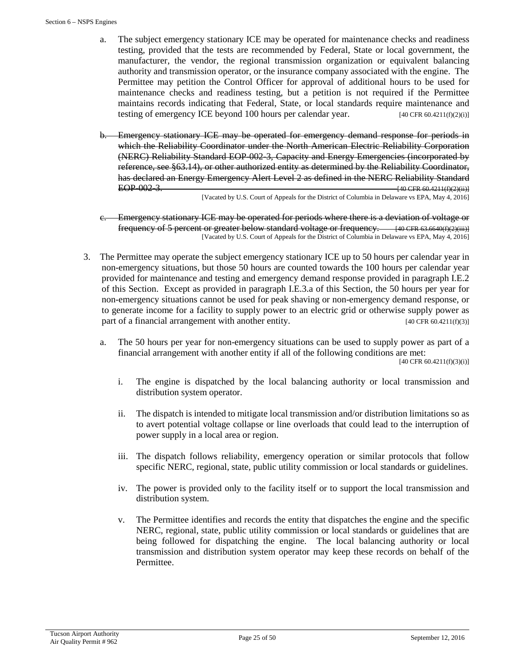- a. The subject emergency stationary ICE may be operated for maintenance checks and readiness testing, provided that the tests are recommended by Federal, State or local government, the manufacturer, the vendor, the regional transmission organization or equivalent balancing authority and transmission operator, or the insurance company associated with the engine. The Permittee may petition the Control Officer for approval of additional hours to be used for maintenance checks and readiness testing, but a petition is not required if the Permittee maintains records indicating that Federal, State, or local standards require maintenance and testing of emergency ICE beyond 100 hours per calendar year. [40 CFR 60.4211(f)(2)(i)]
- b. Emergency stationary ICE may be operated for emergency demand response for periods in which the Reliability Coordinator under the North American Electric Reliability Corporation (NERC) Reliability Standard EOP-002-3, Capacity and Energy Emergencies (incorporated by reference, see §63.14), or other authorized entity as determined by the Reliability Coordinator, has declared an Energy Emergency Alert Level 2 as defined in the NERC Reliability Standard EOP-002-3.  $\frac{1}{40}$  CFR 60.4211(f)(2)(ii)]

[Vacated by U.S. Court of Appeals for the District of Columbia in Delaware vs EPA, May 4, 2016]

- Emergency stationary ICE may be operated for periods where there is a deviation of voltage or frequency of 5 percent or greater below standard voltage or frequency. [40 CFR 63.6640(f)(2)(iii)] [Vacated by U.S. Court of Appeals for the District of Columbia in Delaware vs EPA, May 4, 2016]
- 3. The Permittee may operate the subject emergency stationary ICE up to 50 hours per calendar year in non-emergency situations, but those 50 hours are counted towards the 100 hours per calendar year provided for maintenance and testing and emergency demand response provided in paragraph I.E.2 of this Section. Except as provided in paragraph I.E.3.a of this Section, the 50 hours per year for non-emergency situations cannot be used for peak shaving or non-emergency demand response, or to generate income for a facility to supply power to an electric grid or otherwise supply power as part of a financial arrangement with another entity. [40 CFR 60.4211(f)(3)]
	- a. The 50 hours per year for non-emergency situations can be used to supply power as part of a financial arrangement with another entity if all of the following conditions are met:

 $[40 \text{ CFR } 60.4211(f)(3)(i)]$ 

- i. The engine is dispatched by the local balancing authority or local transmission and distribution system operator.
- ii. The dispatch is intended to mitigate local transmission and/or distribution limitations so as to avert potential voltage collapse or line overloads that could lead to the interruption of power supply in a local area or region.
- iii. The dispatch follows reliability, emergency operation or similar protocols that follow specific NERC, regional, state, public utility commission or local standards or guidelines.
- iv. The power is provided only to the facility itself or to support the local transmission and distribution system.
- v. The Permittee identifies and records the entity that dispatches the engine and the specific NERC, regional, state, public utility commission or local standards or guidelines that are being followed for dispatching the engine. The local balancing authority or local transmission and distribution system operator may keep these records on behalf of the Permittee.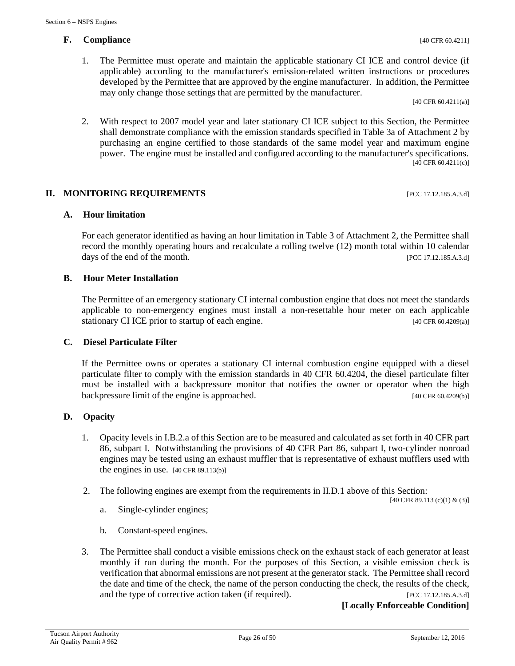# **F. Compliance** [40 CFR 60.4211]

[40 CFR 60.4211(a)]

2. With respect to 2007 model year and later stationary CI ICE subject to this Section, the Permittee shall demonstrate compliance with the emission standards specified in Table 3a of Attachment 2 by purchasing an engine certified to those standards of the same model year and maximum engine power. The engine must be installed and configured according to the manufacturer's specifications. [40 CFR 60.4211(c)]

### **II. MONITORING REQUIREMENTS** [PCC 17.12.185.A.3.d]

### **A. Hour limitation**

For each generator identified as having an hour limitation in Table 3 of Attachment 2, the Permittee shall record the monthly operating hours and recalculate a rolling twelve (12) month total within 10 calendar days of the end of the month. [PCC 17.12.185.A.3.d]

### **B. Hour Meter Installation**

The Permittee of an emergency stationary CI internal combustion engine that does not meet the standards applicable to non-emergency engines must install a non-resettable hour meter on each applicable stationary CI ICE prior to startup of each engine. [40 CFR 60.4209(a)]

#### **C. Diesel Particulate Filter**

If the Permittee owns or operates a stationary CI internal combustion engine equipped with a diesel particulate filter to comply with the emission standards in 40 CFR 60.4204, the diesel particulate filter must be installed with a backpressure monitor that notifies the owner or operator when the high backpressure limit of the engine is approached. [40 CFR 60.4209(b)]

# **D. Opacity**

- 1. Opacity levels in I.B.2.a of this Section are to be measured and calculated as set forth in 40 CFR part 86, subpart I. Notwithstanding the provisions of 40 CFR Part 86, subpart I, two-cylinder nonroad engines may be tested using an exhaust muffler that is representative of exhaust mufflers used with the engines in use. [40 CFR 89.113(b)]
- 2. The following engines are exempt from the requirements in II.D.1 above of this Section:

[40 CFR 89.113 (c)(1) & (3)]

- a. Single-cylinder engines;
- b. Constant-speed engines.
- 3. The Permittee shall conduct a visible emissions check on the exhaust stack of each generator at least monthly if run during the month. For the purposes of this Section, a visible emission check is verification that abnormal emissions are not present at the generator stack. The Permittee shall record the date and time of the check, the name of the person conducting the check, the results of the check, and the type of corrective action taken (if required). [PCC 17.12.185.A.3.d]

**[Locally Enforceable Condition]**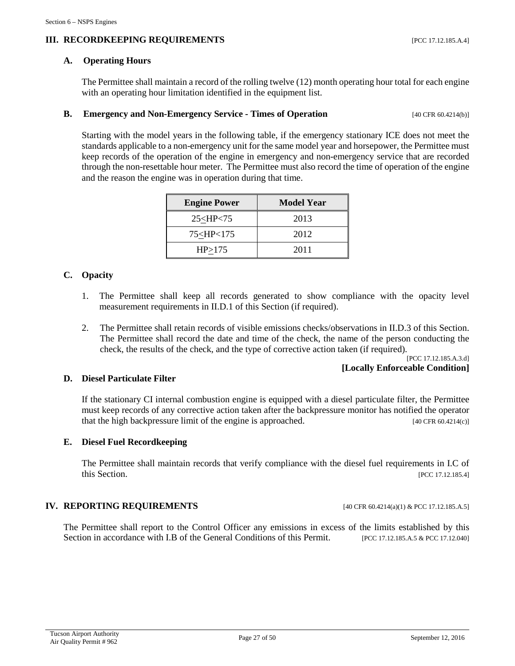# **III. RECORDKEEPING REQUIREMENTS** [PCC 17.12.185.A.4]

#### **A. Operating Hours**

The Permittee shall maintain a record of the rolling twelve (12) month operating hour total for each engine with an operating hour limitation identified in the equipment list.

#### **B. Emergency and Non-Emergency Service - Times of Operation** [40 CFR 60.4214(b)]

Starting with the model years in the following table, if the emergency stationary ICE does not meet the standards applicable to a non-emergency unit for the same model year and horsepower, the Permittee must keep records of the operation of the engine in emergency and non-emergency service that are recorded through the non-resettable hour meter. The Permittee must also record the time of operation of the engine and the reason the engine was in operation during that time.

| <b>Engine Power</b>                       | Model Year |
|-------------------------------------------|------------|
| 25 < HP < 75                              | 2013       |
| 75 <hp<175< td=""><td>2012</td></hp<175<> | 2012       |
| HP > 175                                  | 2011       |

#### **C. Opacity**

- 1. The Permittee shall keep all records generated to show compliance with the opacity level measurement requirements in II.D.1 of this Section (if required).
- 2. The Permittee shall retain records of visible emissions checks/observations in II.D.3 of this Section. The Permittee shall record the date and time of the check, the name of the person conducting the check, the results of the check, and the type of corrective action taken (if required).

[PCC 17.12.185.A.3.d] **[Locally Enforceable Condition]**

#### **D. Diesel Particulate Filter**

If the stationary CI internal combustion engine is equipped with a diesel particulate filter, the Permittee must keep records of any corrective action taken after the backpressure monitor has notified the operator that the high backpressure limit of the engine is approached. [40 CFR 60.4214(c)]

#### **E. Diesel Fuel Recordkeeping**

The Permittee shall maintain records that verify compliance with the diesel fuel requirements in I.C of this Section. [PCC 17.12.185.4]

#### **IV. REPORTING REQUIREMENTS** [40 CFR 60.4214(a)(1) & PCC 17.12.185.A.5]

The Permittee shall report to the Control Officer any emissions in excess of the limits established by this Section in accordance with I.B of the General Conditions of this Permit. [PCC 17.12.185.A.5 & PCC 17.12.040]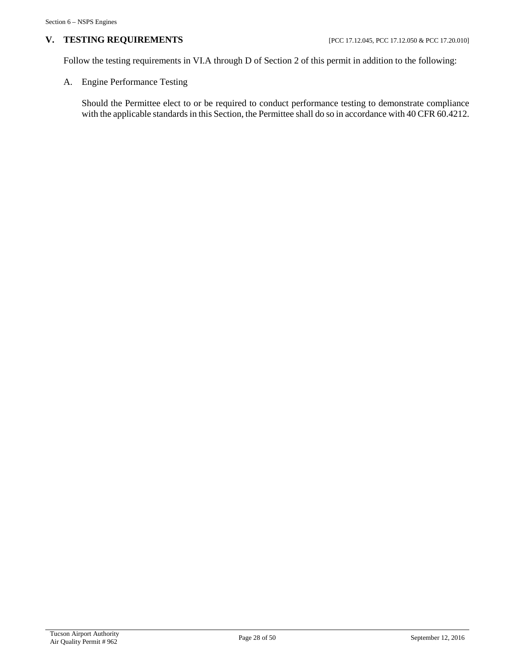# **V. TESTING REQUIREMENTS** [PCC 17.12.045, PCC 17.12.050 & PCC 17.20.010]

Follow the testing requirements in VI.A through D of Section 2 of this permit in addition to the following:

A. Engine Performance Testing

Should the Permittee elect to or be required to conduct performance testing to demonstrate compliance with the applicable standards in this Section, the Permittee shall do so in accordance with 40 CFR 60.4212.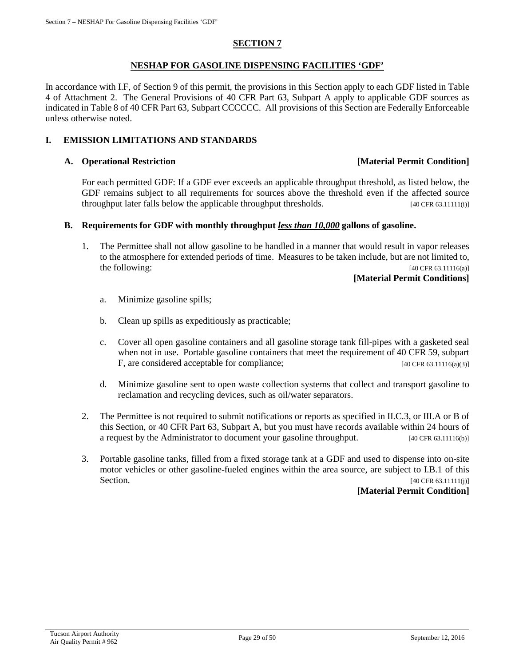## **SECTION 7**

#### **NESHAP FOR GASOLINE DISPENSING FACILITIES 'GDF'**

In accordance with I.F, of Section 9 of this permit, the provisions in this Section apply to each GDF listed in Table 4 of Attachment 2. The General Provisions of 40 CFR Part 63, Subpart A apply to applicable GDF sources as indicated in Table 8 of 40 CFR Part 63, Subpart CCCCCC. All provisions of this Section are Federally Enforceable unless otherwise noted.

#### **I. EMISSION LIMITATIONS AND STANDARDS**

#### **A. Operational Restriction [Material Permit Condition]**

For each permitted GDF: If a GDF ever exceeds an applicable throughput threshold, as listed below, the GDF remains subject to all requirements for sources above the threshold even if the affected source throughput later falls below the applicable throughput thresholds. [40 CFR 63.11111(i)]

#### **B. Requirements for GDF with monthly throughput** *less than 10,000* **gallons of gasoline.**

1. The Permittee shall not allow gasoline to be handled in a manner that would result in vapor releases to the atmosphere for extended periods of time. Measures to be taken include, but are not limited to, the following:  $[40 \text{ CFR } 63.11116(a)]$ 

#### **[Material Permit Conditions]**

- a. Minimize gasoline spills;
- b. Clean up spills as expeditiously as practicable;
- c. Cover all open gasoline containers and all gasoline storage tank fill-pipes with a gasketed seal when not in use. Portable gasoline containers that meet the requirement of 40 CFR 59, subpart F, are considered acceptable for compliance; [40 CFR 63.11116(a)(3)]
- d. Minimize gasoline sent to open waste collection systems that collect and transport gasoline to reclamation and recycling devices, such as oil/water separators.
- 2. The Permittee is not required to submit notifications or reports as specified in II.C.3, or III.A or B of this Section, or 40 CFR Part 63, Subpart A, but you must have records available within 24 hours of a request by the Administrator to document your gasoline throughput. [40 CFR 63.11116(b)]
- 3. Portable gasoline tanks, filled from a fixed storage tank at a GDF and used to dispense into on-site motor vehicles or other gasoline-fueled engines within the area source, are subject to I.B.1 of this Section. [40 CFR 63.11111(j)]

#### **[Material Permit Condition]**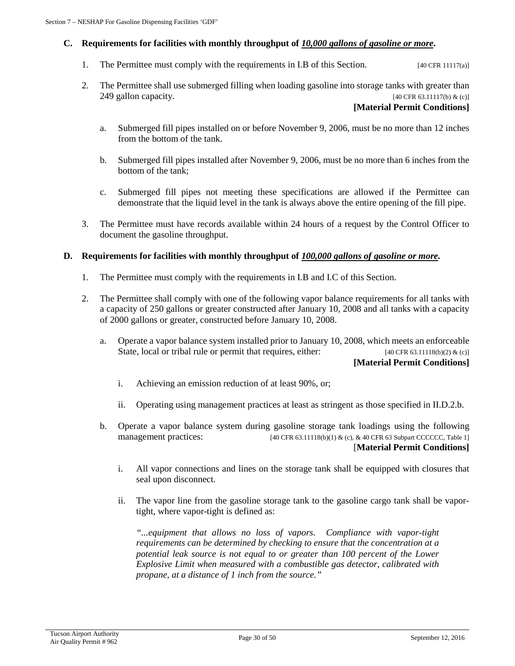#### **C. Requirements for facilities with monthly throughput of** *10,000 gallons of gasoline or more***.**

- 1. The Permittee must comply with the requirements in I.B of this Section. [40 CFR 11117(a)]
- 2. The Permittee shall use submerged filling when loading gasoline into storage tanks with greater than 249 gallon capacity.  $[40 \text{ CFR } 63.11117(b) \& (c)]$

#### **[Material Permit Conditions]**

- a. Submerged fill pipes installed on or before November 9, 2006, must be no more than 12 inches from the bottom of the tank.
- b. Submerged fill pipes installed after November 9, 2006, must be no more than 6 inches from the bottom of the tank;
- c. Submerged fill pipes not meeting these specifications are allowed if the Permittee can demonstrate that the liquid level in the tank is always above the entire opening of the fill pipe.
- 3. The Permittee must have records available within 24 hours of a request by the Control Officer to document the gasoline throughput.

#### **D. Requirements for facilities with monthly throughput of** *100,000 gallons of gasoline or more.*

- 1. The Permittee must comply with the requirements in I.B and I.C of this Section.
- 2. The Permittee shall comply with one of the following vapor balance requirements for all tanks with a capacity of 250 gallons or greater constructed after January 10, 2008 and all tanks with a capacity of 2000 gallons or greater, constructed before January 10, 2008.
	- a. Operate a vapor balance system installed prior to January 10, 2008, which meets an enforceable State, local or tribal rule or permit that requires, either:  $[40 \text{ CFR } 63.11118(b)(2) & (c)]$ **[Material Permit Conditions]**
		- i. Achieving an emission reduction of at least 90%, or;
		- ii. Operating using management practices at least as stringent as those specified in II.D.2.b.
	- b. Operate a vapor balance system during gasoline storage tank loadings using the following management practices:  $[40 \text{ CFR } 63.11118(b)(1) \& (c), \& 40 \text{ CFR } 63 \text{ Subpart } \text{CCCCC, Table 1}]$ [**Material Permit Conditions]**
		- i. All vapor connections and lines on the storage tank shall be equipped with closures that seal upon disconnect.
		- ii. The vapor line from the gasoline storage tank to the gasoline cargo tank shall be vaportight, where vapor-tight is defined as:

*"...equipment that allows no loss of vapors. Compliance with vapor-tight requirements can be determined by checking to ensure that the concentration at a potential leak source is not equal to or greater than 100 percent of the Lower Explosive Limit when measured with a combustible gas detector, calibrated with propane, at a distance of 1 inch from the source."*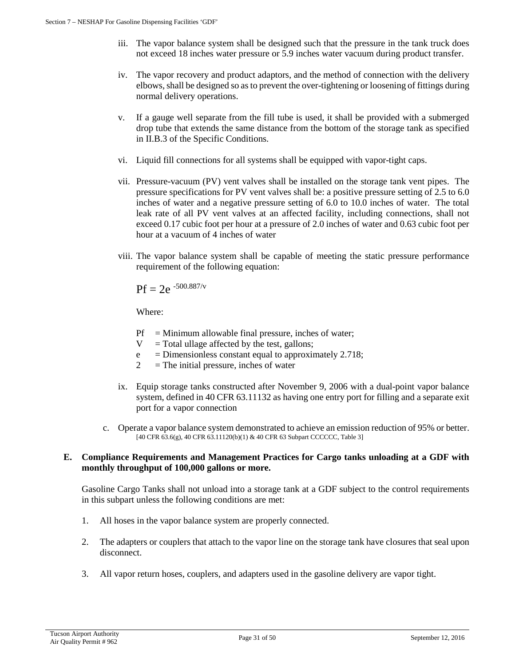- iii. The vapor balance system shall be designed such that the pressure in the tank truck does not exceed 18 inches water pressure or 5.9 inches water vacuum during product transfer.
- iv. The vapor recovery and product adaptors, and the method of connection with the delivery elbows, shall be designed so as to prevent the over-tightening or loosening of fittings during normal delivery operations.
- v. If a gauge well separate from the fill tube is used, it shall be provided with a submerged drop tube that extends the same distance from the bottom of the storage tank as specified in II.B.3 of the Specific Conditions.
- vi. Liquid fill connections for all systems shall be equipped with vapor-tight caps.
- vii. Pressure-vacuum (PV) vent valves shall be installed on the storage tank vent pipes. The pressure specifications for PV vent valves shall be: a positive pressure setting of 2.5 to 6.0 inches of water and a negative pressure setting of 6.0 to 10.0 inches of water. The total leak rate of all PV vent valves at an affected facility, including connections, shall not exceed 0.17 cubic foot per hour at a pressure of 2.0 inches of water and 0.63 cubic foot per hour at a vacuum of 4 inches of water
- viii. The vapor balance system shall be capable of meeting the static pressure performance requirement of the following equation:

 $Pf = 2e^{-500.887/v}$ 

Where:

- $Pf = Minimum$  allowable final pressure, inches of water;
- $V = \text{Total ellipse affected by the test, gallons};$
- $e$  = Dimensionless constant equal to approximately 2.718;
- $2 =$ The initial pressure, inches of water
- ix. Equip storage tanks constructed after November 9, 2006 with a dual-point vapor balance system, defined in 40 CFR 63.11132 as having one entry port for filling and a separate exit port for a vapor connection
- c. Operate a vapor balance system demonstrated to achieve an emission reduction of 95% or better. [40 CFR 63.6(g), 40 CFR 63.11120(b)(1) & 40 CFR 63 Subpart CCCCCC, Table 3]

#### **E. Compliance Requirements and Management Practices for Cargo tanks unloading at a GDF with monthly throughput of 100,000 gallons or more.**

Gasoline Cargo Tanks shall not unload into a storage tank at a GDF subject to the control requirements in this subpart unless the following conditions are met:

- 1. All hoses in the vapor balance system are properly connected.
- 2. The adapters or couplers that attach to the vapor line on the storage tank have closures that seal upon disconnect.
- 3. All vapor return hoses, couplers, and adapters used in the gasoline delivery are vapor tight.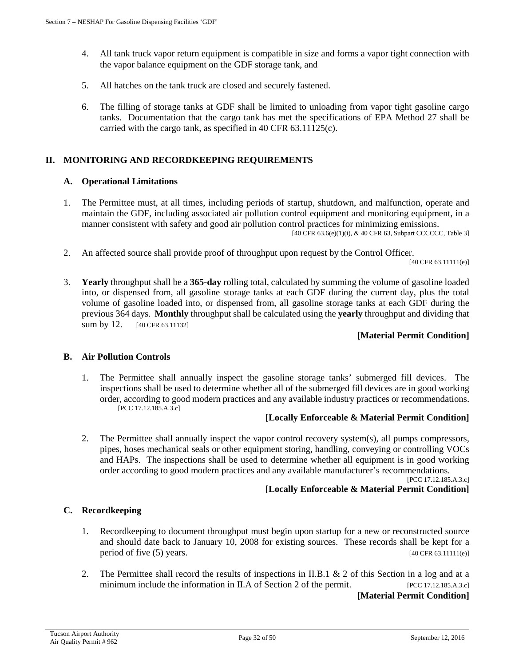- 4. All tank truck vapor return equipment is compatible in size and forms a vapor tight connection with the vapor balance equipment on the GDF storage tank, and
- 5. All hatches on the tank truck are closed and securely fastened.
- 6. The filling of storage tanks at GDF shall be limited to unloading from vapor tight gasoline cargo tanks. Documentation that the cargo tank has met the specifications of EPA Method 27 shall be carried with the cargo tank, as specified in 40 CFR 63.11125(c).

# **II. MONITORING AND RECORDKEEPING REQUIREMENTS**

#### **A. Operational Limitations**

1. The Permittee must, at all times, including periods of startup, shutdown, and malfunction, operate and maintain the GDF, including associated air pollution control equipment and monitoring equipment, in a manner consistent with safety and good air pollution control practices for minimizing emissions.

[40 CFR 63.6(e)(1)(i), & 40 CFR 63, Subpart CCCCCC, Table 3]

2. An affected source shall provide proof of throughput upon request by the Control Officer.

[40 CFR 63.11111(e)]

3. **Yearly** throughput shall be a **365-day** rolling total, calculated by summing the volume of gasoline loaded into, or dispensed from, all gasoline storage tanks at each GDF during the current day, plus the total volume of gasoline loaded into, or dispensed from, all gasoline storage tanks at each GDF during the previous 364 days. **Monthly** throughput shall be calculated using the **yearly** throughput and dividing that sum by 12. [40 CFR 63.11132]

# **[Material Permit Condition]**

# **B. Air Pollution Controls**

1. The Permittee shall annually inspect the gasoline storage tanks' submerged fill devices. The inspections shall be used to determine whether all of the submerged fill devices are in good working order, according to good modern practices and any available industry practices or recommendations. [PCC 17.12.185.A.3.c]

#### **[Locally Enforceable & Material Permit Condition]**

2. The Permittee shall annually inspect the vapor control recovery system(s), all pumps compressors, pipes, hoses mechanical seals or other equipment storing, handling, conveying or controlling VOCs and HAPs. The inspections shall be used to determine whether all equipment is in good working order according to good modern practices and any available manufacturer's recommendations.

[PCC 17.12.185.A.3.c]

# **[Locally Enforceable & Material Permit Condition]**

#### **C. Recordkeeping**

- 1. Recordkeeping to document throughput must begin upon startup for a new or reconstructed source and should date back to January 10, 2008 for existing sources. These records shall be kept for a period of five  $(5)$  years. [40 CFR 63.11111(e)]
- 2. The Permittee shall record the results of inspections in II.B.1 & 2 of this Section in a log and at a minimum include the information in II.A of Section 2 of the permit. [PCC 17.12.185.A.3.c]

#### **[Material Permit Condition]**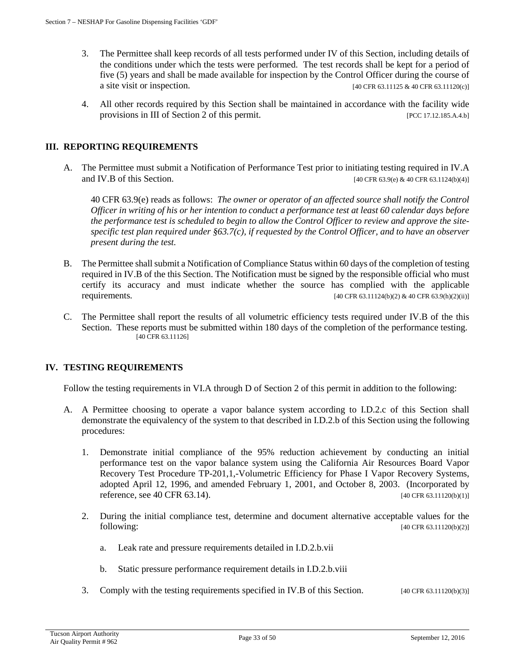- 3. The Permittee shall keep records of all tests performed under IV of this Section, including details of the conditions under which the tests were performed. The test records shall be kept for a period of five (5) years and shall be made available for inspection by the Control Officer during the course of a site visit or inspection.  $[40 \text{ CFR } 63.11125 \& 40 \text{ CFR } 63.11120(c)]$
- 4. All other records required by this Section shall be maintained in accordance with the facility wide provisions in III of Section 2 of this permit. [PCC 17.12.185.A.4.b]

### **III. REPORTING REQUIREMENTS**

A. The Permittee must submit a Notification of Performance Test prior to initiating testing required in IV.A and IV.B of this Section. [40 CFR 63.9(e) & 40 CFR 63.1124(b)(4)]

40 CFR 63.9(e) reads as follows: *The owner or operator of an affected source shall notify the Control Officer in writing of his or her intention to conduct a performance test at least 60 calendar days before the performance test is scheduled to begin to allow the Control Officer to review and approve the sitespecific test plan required under §63.7(c), if requested by the Control Officer, and to have an observer present during the test.*

- B. The Permittee shall submit a Notification of Compliance Status within 60 days of the completion of testing required in IV.B of the this Section. The Notification must be signed by the responsible official who must certify its accuracy and must indicate whether the source has complied with the applicable requirements. [40 CFR 63.11124(b)(2) & 40 CFR 63.9(h)(2)(ii)]
- C. The Permittee shall report the results of all volumetric efficiency tests required under IV.B of the this Section. These reports must be submitted within 180 days of the completion of the performance testing. [40 CFR 63.11126]

#### **IV. TESTING REQUIREMENTS**

Follow the testing requirements in VI.A through D of Section 2 of this permit in addition to the following:

- A. A Permittee choosing to operate a vapor balance system according to I.D.2.c of this Section shall demonstrate the equivalency of the system to that described in I.D.2.b of this Section using the following procedures:
	- 1. Demonstrate initial compliance of the 95% reduction achievement by conducting an initial performance test on the vapor balance system using the California Air Resources Board Vapor Recovery Test Procedure TP-201,1,-Volumetric Efficiency for Phase I Vapor Recovery Systems, adopted April 12, 1996, and amended February 1, 2001, and October 8, 2003. (Incorporated by reference, see 40 CFR 63.14).  $[40 \text{ CFR } 63.11120(b)(1)]$
	- 2. During the initial compliance test, determine and document alternative acceptable values for the following: [40 CFR 63.11120(b)(2)]
		- a. Leak rate and pressure requirements detailed in I.D.2.b.vii
		- b. Static pressure performance requirement details in I.D.2.b.viii
	- 3. Comply with the testing requirements specified in IV.B of this Section. [40 CFR 63.11120(b)(3)]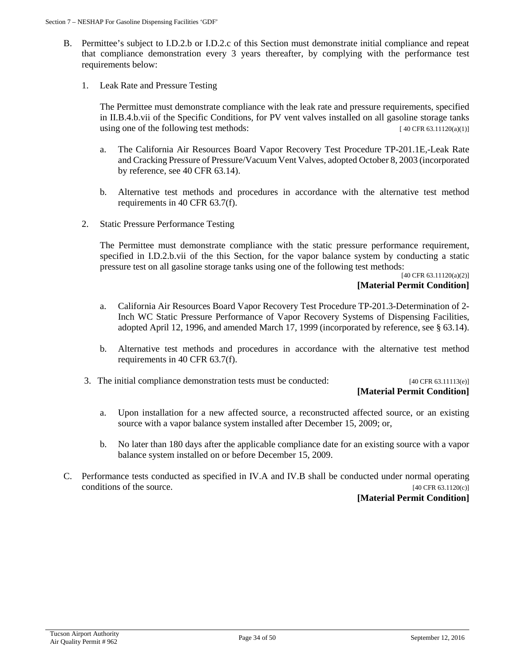- B. Permittee's subject to I.D.2.b or I.D.2.c of this Section must demonstrate initial compliance and repeat that compliance demonstration every 3 years thereafter, by complying with the performance test requirements below:
	- 1. Leak Rate and Pressure Testing

The Permittee must demonstrate compliance with the leak rate and pressure requirements, specified in II.B.4.b.vii of the Specific Conditions, for PV vent valves installed on all gasoline storage tanks using one of the following test methods:  $[40 \text{ CFR } 63.11120(a)(1)]$ 

- a. The California Air Resources Board Vapor Recovery Test Procedure TP-201.1E,-Leak Rate and Cracking Pressure of Pressure/Vacuum Vent Valves, adopted October 8, 2003 (incorporated by reference, see 40 CFR 63.14).
- b. Alternative test methods and procedures in accordance with the alternative test method requirements in 40 CFR 63.7(f).
- 2. Static Pressure Performance Testing

The Permittee must demonstrate compliance with the static pressure performance requirement, specified in I.D.2.b.vii of the this Section, for the vapor balance system by conducting a static pressure test on all gasoline storage tanks using one of the following test methods:

[40 CFR 63.11120(a)(2)] **[Material Permit Condition]**

- a. California Air Resources Board Vapor Recovery Test Procedure TP-201.3-Determination of 2- Inch WC Static Pressure Performance of Vapor Recovery Systems of Dispensing Facilities, adopted April 12, 1996, and amended March 17, 1999 (incorporated by reference, see § 63.14).
- b. Alternative test methods and procedures in accordance with the alternative test method requirements in 40 CFR 63.7(f).
- 3. The initial compliance demonstration tests must be conducted: [40 CFR 63.11113(e)]

# **[Material Permit Condition]**

- a. Upon installation for a new affected source, a reconstructed affected source, or an existing source with a vapor balance system installed after December 15, 2009; or,
- b. No later than 180 days after the applicable compliance date for an existing source with a vapor balance system installed on or before December 15, 2009.
- C. Performance tests conducted as specified in IV.A and IV.B shall be conducted under normal operating conditions of the source. [40 CFR 63.1120(c)]

#### **[Material Permit Condition]**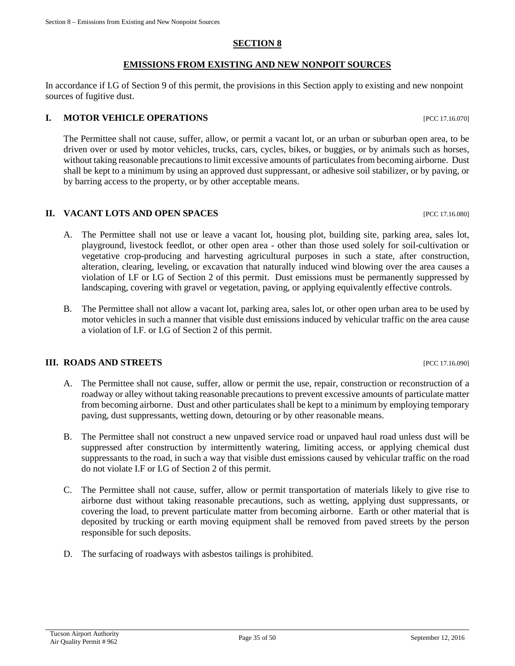### **SECTION 8**

#### **EMISSIONS FROM EXISTING AND NEW NONPOIT SOURCES**

In accordance if I.G of Section 9 of this permit, the provisions in this Section apply to existing and new nonpoint sources of fugitive dust.

# **I. MOTOR VEHICLE OPERATIONS INCLUSIVE 2008** [PCC 17.16.070]

The Permittee shall not cause, suffer, allow, or permit a vacant lot, or an urban or suburban open area, to be driven over or used by motor vehicles, trucks, cars, cycles, bikes, or buggies, or by animals such as horses, without taking reasonable precautions to limit excessive amounts of particulates from becoming airborne. Dust shall be kept to a minimum by using an approved dust suppressant, or adhesive soil stabilizer, or by paving, or by barring access to the property, or by other acceptable means.

#### **II. VACANT LOTS AND OPEN SPACES** [PCC 17.16.080]

- A. The Permittee shall not use or leave a vacant lot, housing plot, building site, parking area, sales lot, playground, livestock feedlot, or other open area - other than those used solely for soil-cultivation or vegetative crop-producing and harvesting agricultural purposes in such a state, after construction, alteration, clearing, leveling, or excavation that naturally induced wind blowing over the area causes a violation of I.F or I.G of Section 2 of this permit. Dust emissions must be permanently suppressed by landscaping, covering with gravel or vegetation, paving, or applying equivalently effective controls.
- B. The Permittee shall not allow a vacant lot, parking area, sales lot, or other open urban area to be used by motor vehicles in such a manner that visible dust emissions induced by vehicular traffic on the area cause a violation of I.F. or I.G of Section 2 of this permit.

#### **III. ROADS AND STREETS** [PCC 17.16.090]

- A. The Permittee shall not cause, suffer, allow or permit the use, repair, construction or reconstruction of a roadway or alley without taking reasonable precautions to prevent excessive amounts of particulate matter from becoming airborne. Dust and other particulates shall be kept to a minimum by employing temporary paving, dust suppressants, wetting down, detouring or by other reasonable means.
- B. The Permittee shall not construct a new unpaved service road or unpaved haul road unless dust will be suppressed after construction by intermittently watering, limiting access, or applying chemical dust suppressants to the road, in such a way that visible dust emissions caused by vehicular traffic on the road do not violate I.F or I.G of Section 2 of this permit.
- C. The Permittee shall not cause, suffer, allow or permit transportation of materials likely to give rise to airborne dust without taking reasonable precautions, such as wetting, applying dust suppressants, or covering the load, to prevent particulate matter from becoming airborne. Earth or other material that is deposited by trucking or earth moving equipment shall be removed from paved streets by the person responsible for such deposits.
- D. The surfacing of roadways with asbestos tailings is prohibited.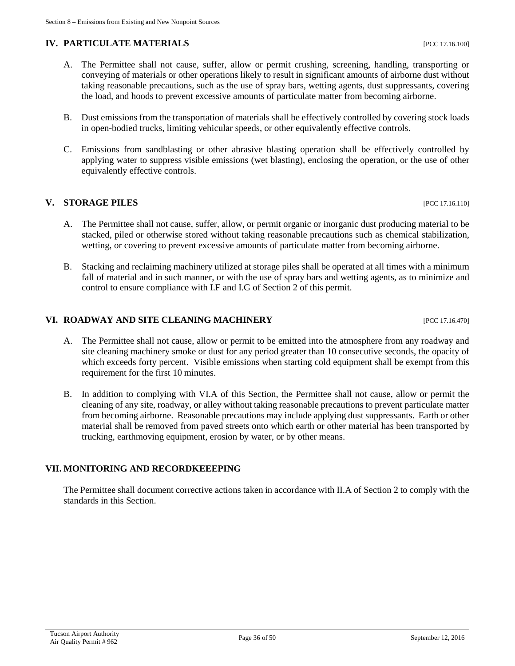# **IV. PARTICULATE MATERIALS** [PCC 17.16.100]

- A. The Permittee shall not cause, suffer, allow or permit crushing, screening, handling, transporting or conveying of materials or other operations likely to result in significant amounts of airborne dust without taking reasonable precautions, such as the use of spray bars, wetting agents, dust suppressants, covering the load, and hoods to prevent excessive amounts of particulate matter from becoming airborne.
- B. Dust emissions from the transportation of materials shall be effectively controlled by covering stock loads in open-bodied trucks, limiting vehicular speeds, or other equivalently effective controls.
- C. Emissions from sandblasting or other abrasive blasting operation shall be effectively controlled by applying water to suppress visible emissions (wet blasting), enclosing the operation, or the use of other equivalently effective controls.

# **V. STORAGE PILES** [PCC 17.16.110]

- A. The Permittee shall not cause, suffer, allow, or permit organic or inorganic dust producing material to be stacked, piled or otherwise stored without taking reasonable precautions such as chemical stabilization, wetting, or covering to prevent excessive amounts of particulate matter from becoming airborne.
- B. Stacking and reclaiming machinery utilized at storage piles shall be operated at all times with a minimum fall of material and in such manner, or with the use of spray bars and wetting agents, as to minimize and control to ensure compliance with I.F and I.G of Section 2 of this permit.

### **VI. ROADWAY AND SITE CLEANING MACHINERY** [PCC 17.16.470]

- A. The Permittee shall not cause, allow or permit to be emitted into the atmosphere from any roadway and site cleaning machinery smoke or dust for any period greater than 10 consecutive seconds, the opacity of which exceeds forty percent. Visible emissions when starting cold equipment shall be exempt from this requirement for the first 10 minutes.
- B. In addition to complying with VI.A of this Section, the Permittee shall not cause, allow or permit the cleaning of any site, roadway, or alley without taking reasonable precautions to prevent particulate matter from becoming airborne. Reasonable precautions may include applying dust suppressants. Earth or other material shall be removed from paved streets onto which earth or other material has been transported by trucking, earthmoving equipment, erosion by water, or by other means.

# **VII. MONITORING AND RECORDKEEEPING**

The Permittee shall document corrective actions taken in accordance with II.A of Section 2 to comply with the standards in this Section.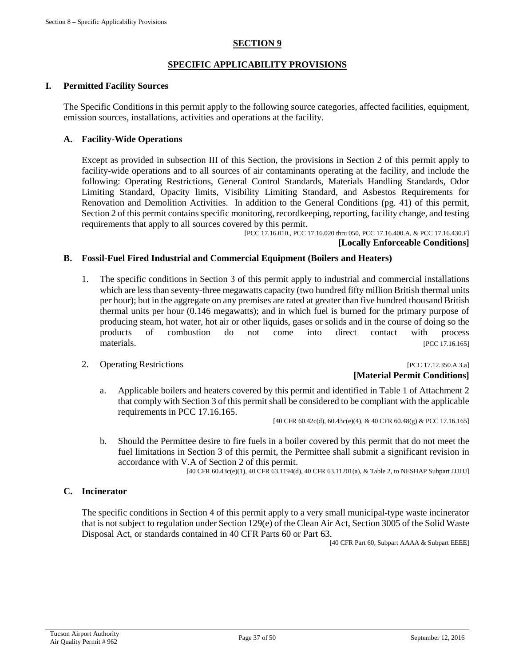# **SECTION 9**

# **SPECIFIC APPLICABILITY PROVISIONS**

#### **I. Permitted Facility Sources**

The Specific Conditions in this permit apply to the following source categories, affected facilities, equipment, emission sources, installations, activities and operations at the facility.

#### **A. Facility-Wide Operations**

Except as provided in subsection III of this Section, the provisions in Section 2 of this permit apply to facility-wide operations and to all sources of air contaminants operating at the facility, and include the following: Operating Restrictions, General Control Standards, Materials Handling Standards, Odor Limiting Standard, Opacity limits, Visibility Limiting Standard, and Asbestos Requirements for Renovation and Demolition Activities. In addition to the General Conditions (pg. 41) of this permit, Section 2 of this permit contains specific monitoring, recordkeeping, reporting, facility change, and testing requirements that apply to all sources covered by this permit.

[PCC 17.16.010., PCC 17.16.020 thru 050, PCC 17.16.400.A, & PCC 17.16.430.F] **[Locally Enforceable Conditions]**

#### **B. Fossil-Fuel Fired Industrial and Commercial Equipment (Boilers and Heaters)**

- 1. The specific conditions in Section 3 of this permit apply to industrial and commercial installations which are less than seventy-three megawatts capacity (two hundred fifty million British thermal units per hour); but in the aggregate on any premises are rated at greater than five hundred thousand British thermal units per hour (0.146 megawatts); and in which fuel is burned for the primary purpose of producing steam, hot water, hot air or other liquids, gases or solids and in the course of doing so the products of combustion do not come into direct contact with process materials. [PCC 17.16.165]
- 2. Operating Restrictions [PCC 17.12.350.A.3.a]

# **[Material Permit Conditions]**

a. Applicable boilers and heaters covered by this permit and identified in Table 1 of Attachment 2 that comply with Section 3 of this permit shall be considered to be compliant with the applicable requirements in PCC 17.16.165.

[40 CFR 60.42c(d), 60.43c(e)(4), & 40 CFR 60.48(g) & PCC 17.16.165]

b. Should the Permittee desire to fire fuels in a boiler covered by this permit that do not meet the fuel limitations in Section 3 of this permit, the Permittee shall submit a significant revision in accordance with V.A of Section 2 of this permit.

[40 CFR 60.43c(e)(1), 40 CFR 63.1194(d), 40 CFR 63.11201(a), & Table 2, to NESHAP Subpart JJJJJJ]

#### **C. Incinerator**

The specific conditions in Section 4 of this permit apply to a very small municipal-type waste incinerator that is not subject to regulation under Section 129(e) of the Clean Air Act, Section 3005 of the Solid Waste Disposal Act, or standards contained in 40 CFR Parts 60 or Part 63.

[40 CFR Part 60, Subpart AAAA & Subpart EEEE]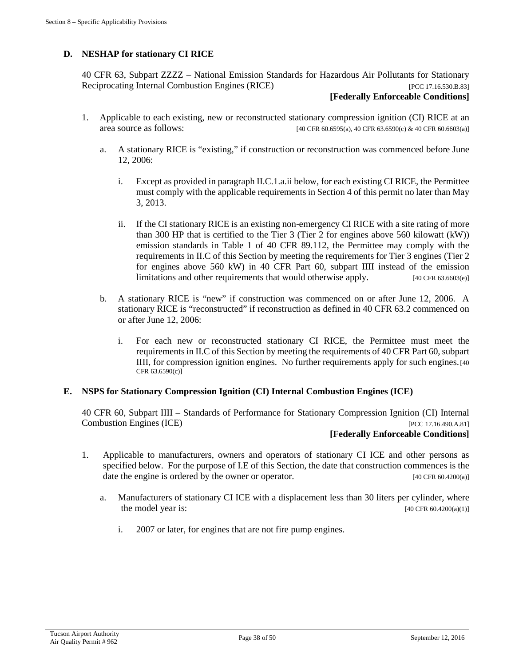# **D. NESHAP for stationary CI RICE**

40 CFR 63, Subpart ZZZZ – National Emission Standards for Hazardous Air Pollutants for Stationary Reciprocating Internal Combustion Engines (RICE) [PCC 17.16.530.B.83]

#### **[Federally Enforceable Conditions]**

- 1. Applicable to each existing, new or reconstructed stationary compression ignition (CI) RICE at an area source as follows: [40 CFR 60.6595(a), 40 CFR 63.6590(c) & 40 CFR 60.6603(a)]
	- a. A stationary RICE is "existing," if construction or reconstruction was commenced before June 12, 2006:
		- i. Except as provided in paragraph II.C.1.a.ii below, for each existing CI RICE, the Permittee must comply with the applicable requirements in Section 4 of this permit no later than May 3, 2013.
		- ii. If the CI stationary RICE is an existing non-emergency CI RICE with a site rating of more than 300 HP that is certified to the Tier 3 (Tier 2 for engines above 560 kilowatt (kW)) emission standards in Table 1 of 40 CFR 89.112, the Permittee may comply with the requirements in II.C of this Section by meeting the requirements for Tier 3 engines (Tier 2 for engines above 560 kW) in 40 CFR Part 60, subpart IIII instead of the emission limitations and other requirements that would otherwise apply. [40 CFR 63.6603(e)]
	- b. A stationary RICE is "new" if construction was commenced on or after June 12, 2006. A stationary RICE is "reconstructed" if reconstruction as defined in 40 CFR 63.2 commenced on or after June 12, 2006:
		- i. For each new or reconstructed stationary CI RICE, the Permittee must meet the requirements in II.C of this Section by meeting the requirements of 40 CFR Part 60, subpart IIII, for compression ignition engines. No further requirements apply for such engines.[40  $CFR$  63.6590(c)]

#### **E. NSPS for Stationary Compression Ignition (CI) Internal Combustion Engines (ICE)**

40 CFR 60, Subpart IIII – Standards of Performance for Stationary Compression Ignition (CI) Internal Combustion Engines (ICE) [PCC 17.16.490.A.81]

#### **[Federally Enforceable Conditions]**

- 1. Applicable to manufacturers, owners and operators of stationary CI ICE and other persons as specified below. For the purpose of I.E of this Section, the date that construction commences is the date the engine is ordered by the owner or operator. [40 CFR 60.4200(a)]
	- a. Manufacturers of stationary CI ICE with a displacement less than 30 liters per cylinder, where the model year is: [40 CFR 60.4200(a)(1)]
		- i. 2007 or later, for engines that are not fire pump engines.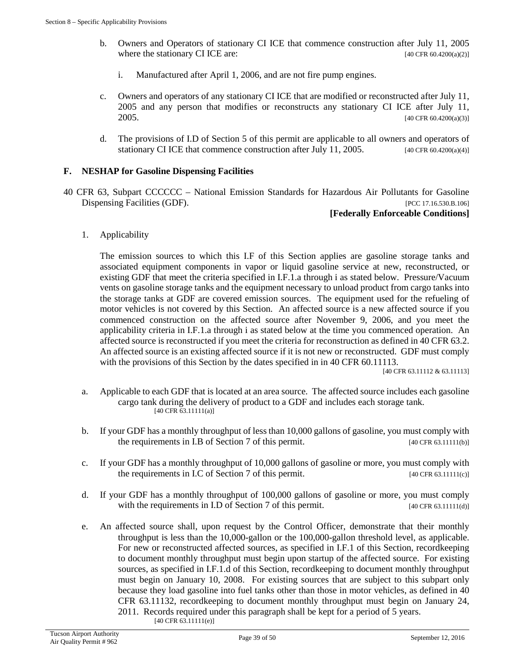- b. Owners and Operators of stationary CI ICE that commence construction after July 11, 2005 where the stationary CI ICE are:  $[40 \text{ CFR } 60.4200(a/2)]$ 
	- i. Manufactured after April 1, 2006, and are not fire pump engines.
- c. Owners and operators of any stationary CI ICE that are modified or reconstructed after July 11, 2005 and any person that modifies or reconstructs any stationary CI ICE after July 11, 2005. [40 CFR 60.4200(a)(3)]
- d. The provisions of I.D of Section 5 of this permit are applicable to all owners and operators of stationary CI ICE that commence construction after July 11, 2005. [40 CFR 60.4200(a)(4)]

# **F. NESHAP for Gasoline Dispensing Facilities**

40 CFR 63, Subpart CCCCCC – National Emission Standards for Hazardous Air Pollutants for Gasoline Dispensing Facilities (GDF). [PCC 17.16.530.B.106]

#### **[Federally Enforceable Conditions]**

1. Applicability

The emission sources to which this I.F of this Section applies are gasoline storage tanks and associated equipment components in vapor or liquid gasoline service at new, reconstructed, or existing GDF that meet the criteria specified in I.F.1.a through i as stated below. Pressure/Vacuum vents on gasoline storage tanks and the equipment necessary to unload product from cargo tanks into the storage tanks at GDF are covered emission sources. The equipment used for the refueling of motor vehicles is not covered by this Section. An affected source is a new affected source if you commenced construction on the affected source after November 9, 2006, and you meet the applicability criteria in I.F.1.a through i as stated below at the time you commenced operation. An affected source is reconstructed if you meet the criteria for reconstruction as defined in 40 CFR 63.2. An affected source is an existing affected source if it is not new or reconstructed. GDF must comply with the provisions of this Section by the dates specified in in 40 CFR 60.11113.

[40 CFR 63.11112 & 63.11113]

- a. Applicable to each GDF that is located at an area source. The affected source includes each gasoline cargo tank during the delivery of product to a GDF and includes each storage tank.  $[40 \text{ CFR } 63.11111(a)]$
- b. If your GDF has a monthly throughput of less than 10,000 gallons of gasoline, you must comply with the requirements in I.B of Section 7 of this permit. [40 CFR 63.11111(b)]
- c. If your GDF has a monthly throughput of 10,000 gallons of gasoline or more, you must comply with the requirements in I.C of Section 7 of this permit.  $[40 \text{ CFR } 63.11111(c)]$
- d. If your GDF has a monthly throughput of 100,000 gallons of gasoline or more, you must comply with the requirements in I.D of Section 7 of this permit.  $[40 \text{ CFR } 63.11111(d)]$
- e. An affected source shall, upon request by the Control Officer, demonstrate that their monthly throughput is less than the 10,000-gallon or the 100,000-gallon threshold level, as applicable. For new or reconstructed affected sources, as specified in I.F.1 of this Section, recordkeeping to document monthly throughput must begin upon startup of the affected source. For existing sources, as specified in I.F.1.d of this Section, recordkeeping to document monthly throughput must begin on January 10, 2008. For existing sources that are subject to this subpart only because they load gasoline into fuel tanks other than those in motor vehicles, as defined in 40 CFR 63.11132, recordkeeping to document monthly throughput must begin on January 24, 2011. Records required under this paragraph shall be kept for a period of 5 years. [40 CFR 63.11111(e)]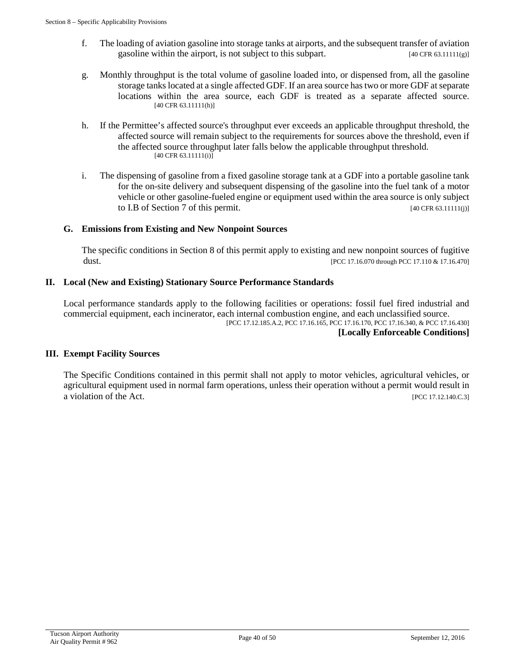- f. The loading of aviation gasoline into storage tanks at airports, and the subsequent transfer of aviation gasoline within the airport, is not subject to this subpart.  $[40 \text{ CFR } 63.11111(g)]$
- g. Monthly throughput is the total volume of gasoline loaded into, or dispensed from, all the gasoline storage tanks located at a single affected GDF. If an area source has two or more GDF at separate locations within the area source, each GDF is treated as a separate affected source. [40 CFR 63.11111(h)]
- h. If the Permittee's affected source's throughput ever exceeds an applicable throughput threshold, the affected source will remain subject to the requirements for sources above the threshold, even if the affected source throughput later falls below the applicable throughput threshold. [40 CFR 63.11111(i)]
- i. The dispensing of gasoline from a fixed gasoline storage tank at a GDF into a portable gasoline tank for the on-site delivery and subsequent dispensing of the gasoline into the fuel tank of a motor vehicle or other gasoline-fueled engine or equipment used within the area source is only subject to I.B of Section 7 of this permit.  $[40 \text{ CFR } 63.11111(j)]$

### **G. Emissions from Existing and New Nonpoint Sources**

The specific conditions in Section 8 of this permit apply to existing and new nonpoint sources of fugitive dust. [PCC 17.16.070 through PCC 17.110 & 17.16.470]

#### **II. Local (New and Existing) Stationary Source Performance Standards**

Local performance standards apply to the following facilities or operations: fossil fuel fired industrial and commercial equipment, each incinerator, each internal combustion engine, and each unclassified source. [PCC 17.12.185.A.2, PCC 17.16.165, PCC 17.16.170, PCC 17.16.340, & PCC 17.16.430] **[Locally Enforceable Conditions]**

#### **III. Exempt Facility Sources**

The Specific Conditions contained in this permit shall not apply to motor vehicles, agricultural vehicles, or agricultural equipment used in normal farm operations, unless their operation without a permit would result in a violation of the Act. [PCC 17.12.140.C.3]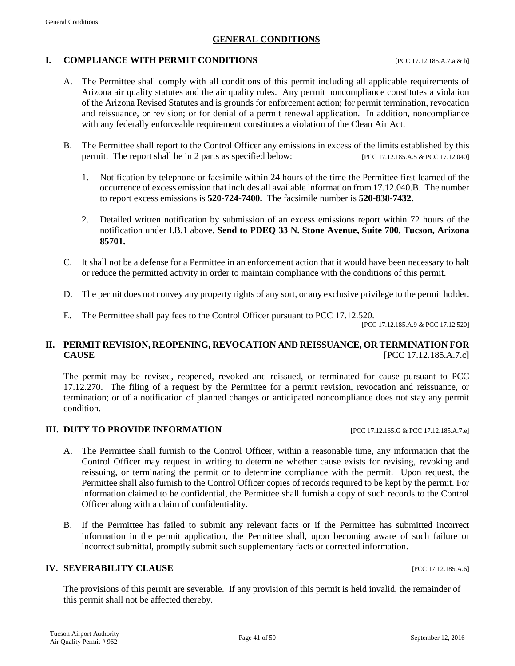#### **GENERAL CONDITIONS**

#### **I. COMPLIANCE WITH PERMIT CONDITIONS** [PCC 17.12.185.A.7.a & b]

- A. The Permittee shall comply with all conditions of this permit including all applicable requirements of Arizona air quality statutes and the air quality rules. Any permit noncompliance constitutes a violation of the Arizona Revised Statutes and is grounds for enforcement action; for permit termination, revocation and reissuance, or revision; or for denial of a permit renewal application. In addition, noncompliance with any federally enforceable requirement constitutes a violation of the Clean Air Act.
- B. The Permittee shall report to the Control Officer any emissions in excess of the limits established by this permit. The report shall be in 2 parts as specified below: [PCC 17.12.185.A.5 & PCC 17.12.040]
	- 1. Notification by telephone or facsimile within 24 hours of the time the Permittee first learned of the occurrence of excess emission that includes all available information from 17.12.040.B. The number to report excess emissions is **520-724-7400.** The facsimile number is **520-838-7432.**
	- 2. Detailed written notification by submission of an excess emissions report within 72 hours of the notification under I.B.1 above. **Send to PDEQ 33 N. Stone Avenue, Suite 700, Tucson, Arizona 85701.**
- C. It shall not be a defense for a Permittee in an enforcement action that it would have been necessary to halt or reduce the permitted activity in order to maintain compliance with the conditions of this permit.
- D. The permit does not convey any property rights of any sort, or any exclusive privilege to the permit holder.
- E. The Permittee shall pay fees to the Control Officer pursuant to PCC 17.12.520.

[PCC 17.12.185.A.9 & PCC 17.12.520]

### **II. PERMIT REVISION, REOPENING, REVOCATION AND REISSUANCE, OR TERMINATION FOR CAUSE** [PCC 17.12.185.A.7.c]

The permit may be revised, reopened, revoked and reissued, or terminated for cause pursuant to PCC 17.12.270. The filing of a request by the Permittee for a permit revision, revocation and reissuance, or termination; or of a notification of planned changes or anticipated noncompliance does not stay any permit condition.

# **III. DUTY TO PROVIDE INFORMATION** [PCC 17.12.165.G & PCC 17.12.185.A.7.e]

- A. The Permittee shall furnish to the Control Officer, within a reasonable time, any information that the Control Officer may request in writing to determine whether cause exists for revising, revoking and reissuing, or terminating the permit or to determine compliance with the permit. Upon request, the Permittee shall also furnish to the Control Officer copies of records required to be kept by the permit. For information claimed to be confidential, the Permittee shall furnish a copy of such records to the Control Officer along with a claim of confidentiality.
- B. If the Permittee has failed to submit any relevant facts or if the Permittee has submitted incorrect information in the permit application, the Permittee shall, upon becoming aware of such failure or incorrect submittal, promptly submit such supplementary facts or corrected information.

## **IV. SEVERABILITY CLAUSE** [PCC 17.12.185.A.6]

The provisions of this permit are severable. If any provision of this permit is held invalid, the remainder of this permit shall not be affected thereby.

Tucson Airport Authority Fucson Airport Authority<br>Air Quality Permit # 962 **Page 41** of 50 September 12, 2016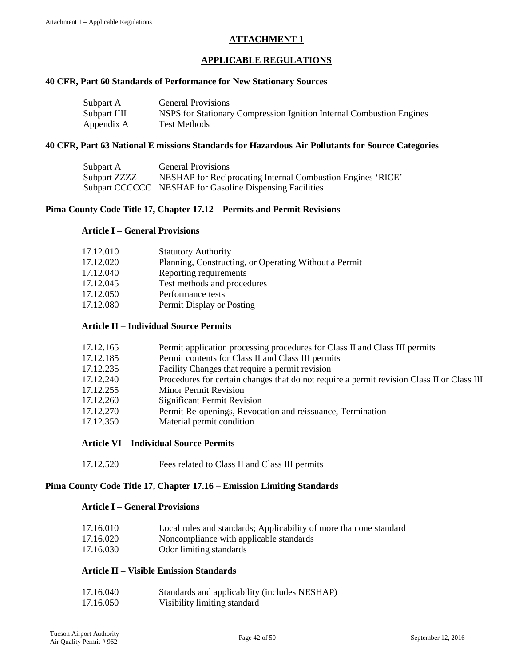# **ATTACHMENT 1**

#### **APPLICABLE REGULATIONS**

#### **40 CFR, Part 60 Standards of Performance for New Stationary Sources**

| Subpart A    | <b>General Provisions</b>                                            |
|--------------|----------------------------------------------------------------------|
| Subpart IIII | NSPS for Stationary Compression Ignition Internal Combustion Engines |
| Appendix A   | Test Methods                                                         |

#### **40 CFR, Part 63 National E missions Standards for Hazardous Air Pollutants for Source Categories**

| Subpart A    | <b>General Provisions</b>                                   |
|--------------|-------------------------------------------------------------|
| Subpart ZZZZ | NESHAP for Reciprocating Internal Combustion Engines 'RICE' |
|              | Subpart CCCCCC NESHAP for Gasoline Dispensing Facilities    |

#### **Pima County Code Title 17, Chapter 17.12 – Permits and Permit Revisions**

#### **Article I – General Provisions**

| 17.12.010 | <b>Statutory Authority</b>                            |
|-----------|-------------------------------------------------------|
| 17.12.020 | Planning, Constructing, or Operating Without a Permit |
| 17.12.040 | Reporting requirements                                |
| 17.12.045 | Test methods and procedures                           |
| 17.12.050 | Performance tests                                     |
| 17.12.080 | Permit Display or Posting                             |

#### **Article II – Individual Source Permits**

| 17.12.165 | Permit application processing procedures for Class II and Class III permits                |
|-----------|--------------------------------------------------------------------------------------------|
| 17.12.185 | Permit contents for Class II and Class III permits                                         |
| 17.12.235 | Facility Changes that require a permit revision                                            |
| 17.12.240 | Procedures for certain changes that do not require a permit revision Class II or Class III |
| 17.12.255 | <b>Minor Permit Revision</b>                                                               |
| 17.12.260 | Significant Permit Revision                                                                |
| 17.12.270 | Permit Re-openings, Revocation and reissuance, Termination                                 |
| 17.12.350 | Material permit condition                                                                  |
|           |                                                                                            |

#### **Article VI – Individual Source Permits**

| 17.12.520<br>Fees related to Class II and Class III permits |  |
|-------------------------------------------------------------|--|
|-------------------------------------------------------------|--|

#### **Pima County Code Title 17, Chapter 17.16 – Emission Limiting Standards**

#### **Article I – General Provisions**

| 17.16.010 | Local rules and standards; Applicability of more than one standard |
|-----------|--------------------------------------------------------------------|
| 17.16.020 | Noncompliance with applicable standards                            |
| 17.16.030 | Odor limiting standards                                            |

#### **Article II – Visible Emission Standards**

| 17.16.040 | Standards and applicability (includes NESHAP) |
|-----------|-----------------------------------------------|
| 17.16.050 | Visibility limiting standard                  |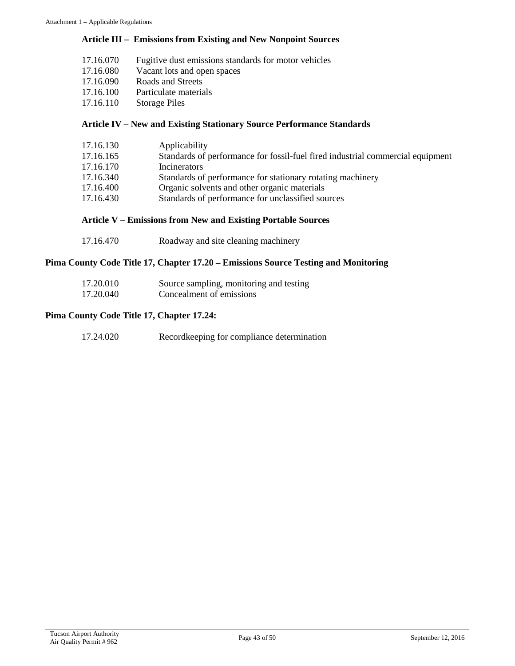#### **Article III – Emissions from Existing and New Nonpoint Sources**

- 17.16.070 Fugitive dust emissions standards for motor vehicles<br>17.16.080 Vacant lots and open spaces
- Vacant lots and open spaces
- 17.16.090 Roads and Streets
- 17.16.100 Particulate materials
- 17.16.110 Storage Piles

#### **Article IV – New and Existing Stationary Source Performance Standards**

| 17.16.130 | Applicability                                                                  |
|-----------|--------------------------------------------------------------------------------|
| 17.16.165 | Standards of performance for fossil-fuel fired industrial commercial equipment |
| 17.16.170 | Incinerators                                                                   |
| 17.16.340 | Standards of performance for stationary rotating machinery                     |
| 17.16.400 | Organic solvents and other organic materials                                   |
| 17.16.430 | Standards of performance for unclassified sources                              |

#### **Article V – Emissions from New and Existing Portable Sources**

17.16.470 Roadway and site cleaning machinery

#### **Pima County Code Title 17, Chapter 17.20 – Emissions Source Testing and Monitoring**

| 17.20.010 | Source sampling, monitoring and testing |
|-----------|-----------------------------------------|
| 17.20.040 | Concealment of emissions                |

#### **Pima County Code Title 17, Chapter 17.24:**

| 17.24.020 | Record keeping for compliance determination |
|-----------|---------------------------------------------|
|-----------|---------------------------------------------|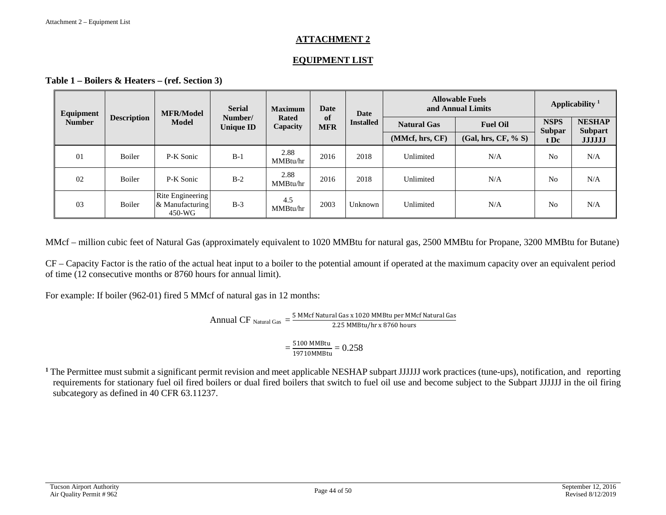### **ATTACHMENT 2**

## **EQUIPMENT LIST**

**Table 1 – Boilers & Heaters – (ref. Section 3)**

| Equipment     |                    | <b>MFR/Model</b>                              | <b>Serial</b>               | <b>Maximum</b>           | <b>Date</b>             | Date             | <b>Allowable Fuels</b><br>and Annual Limits |                     | Applicability <sup>1</sup> |                                 |
|---------------|--------------------|-----------------------------------------------|-----------------------------|--------------------------|-------------------------|------------------|---------------------------------------------|---------------------|----------------------------|---------------------------------|
| <b>Number</b> | <b>Description</b> | <b>Model</b>                                  | Number/<br><b>Unique ID</b> | <b>Rated</b><br>Capacity | <b>of</b><br><b>MFR</b> | <b>Installed</b> | <b>Natural Gas</b>                          | <b>Fuel Oil</b>     | <b>NSPS</b>                | <b>NESHAP</b><br><b>Subpart</b> |
|               |                    |                                               |                             |                          |                         |                  | (MMcf, hrs, CF)                             | (Gal, hrs, CF, % S) | <b>Subpar</b><br>t Dc      | <b>JJJJJJ</b>                   |
| 01            | <b>Boiler</b>      | P-K Sonic                                     | $B-1$                       | 2.88<br>MMBtu/hr         | 2016                    | 2018             | Unlimited                                   | N/A                 | N <sub>0</sub>             | N/A                             |
| 02            | <b>Boiler</b>      | P-K Sonic                                     | $B-2$                       | 2.88<br>MMBtu/hr         | 2016                    | 2018             | Unlimited                                   | N/A                 | No                         | N/A                             |
| 03            | Boiler             | Rite Engineering<br>& Manufacturing<br>450-WG | $B-3$                       | 4.5<br>MMBtu/hr          | 2003                    | Unknown          | Unlimited                                   | N/A                 | N <sub>o</sub>             | N/A                             |

MMcf – million cubic feet of Natural Gas (approximately equivalent to 1020 MMBtu for natural gas, 2500 MMBtu for Propane, 3200 MMBtu for Butane)

CF – Capacity Factor is the ratio of the actual heat input to a boiler to the potential amount if operated at the maximum capacity over an equivalent period of time (12 consecutive months or 8760 hours for annual limit).

For example: If boiler (962-01) fired 5 MMcf of natural gas in 12 months:

$$
Annual CF_{Natural Gas} = \frac{5 \text{ MMcf Natural Gas} \times 1020 \text{ MMBtu per MMcf Natural Gas}}{2.25 \text{ MMBtu/hr} \times 8760 \text{ hours}}
$$

$$
=\frac{5100 \text{ MMBtu}}{19710 \text{ MMBtu}} = 0.258
$$

<sup>1</sup> The Permittee must submit a significant permit revision and meet applicable NESHAP subpart JJJJJJ work practices (tune-ups), notification, and reporting requirements for stationary fuel oil fired boilers or dual fired boilers that switch to fuel oil use and become subject to the Subpart JJJJJJ in the oil firing subcategory as defined in 40 CFR 63.11237.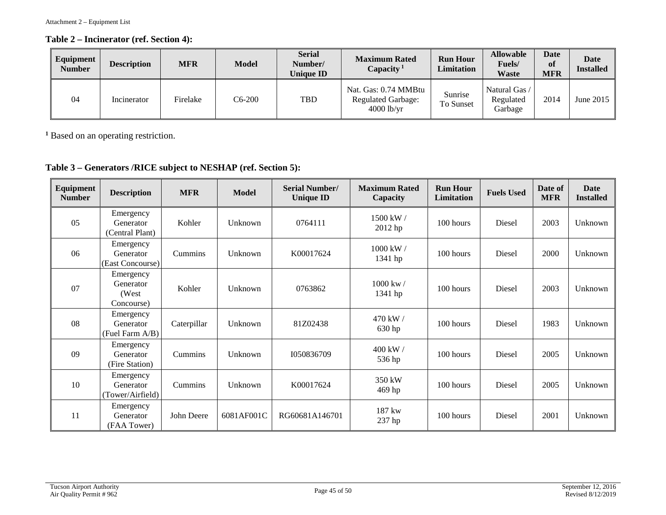### **Table 2 – Incinerator (ref. Section 4):**

| Equipment<br><b>Number</b> | <b>Description</b> | <b>MFR</b> | <b>Model</b> | <b>Serial</b><br>Number/<br><b>Unique ID</b> | <b>Maximum Rated</b><br>Capacity <sup>1</sup>                     | <b>Run Hour</b><br>Limitation | <b>Allowable</b><br>Fuels/<br>Waste   | Date<br>of<br><b>MFR</b> | Date<br><b>Installed</b> |
|----------------------------|--------------------|------------|--------------|----------------------------------------------|-------------------------------------------------------------------|-------------------------------|---------------------------------------|--------------------------|--------------------------|
| 04                         | Incinerator        | Firelake   | C6-200       | <b>TBD</b>                                   | Nat. Gas: 0.74 MMBtu<br><b>Regulated Garbage:</b><br>$4000$ lb/yr | Sunrise<br><b>To Sunset</b>   | Natural Gas /<br>Regulated<br>Garbage | 2014                     | June 2015                |

**<sup>1</sup>** Based on an operating restriction.

# **Table 3 – Generators /RICE subject to NESHAP (ref. Section 5):**

| Equipment<br><b>Number</b> | <b>Description</b>                             | <b>MFR</b>  | <b>Model</b> | <b>Serial Number/</b><br><b>Unique ID</b> | <b>Maximum Rated</b><br>Capacity | <b>Run Hour</b><br><b>Limitation</b> | <b>Fuels Used</b> | Date of<br><b>MFR</b> | <b>Date</b><br><b>Installed</b> |
|----------------------------|------------------------------------------------|-------------|--------------|-------------------------------------------|----------------------------------|--------------------------------------|-------------------|-----------------------|---------------------------------|
| 05                         | Emergency<br>Generator<br>(Central Plant)      | Kohler      | Unknown      | 0764111                                   | 1500 kW /<br>2012 hp             | 100 hours                            | Diesel            | 2003                  | Unknown                         |
| 06                         | Emergency<br>Generator<br>(East Concourse)     | Cummins     | Unknown      | K00017624                                 | 1000 kW /<br>1341 hp             | 100 hours                            | Diesel            | 2000                  | Unknown                         |
| 07                         | Emergency<br>Generator<br>(West)<br>Concourse) | Kohler      | Unknown      | 0763862                                   | 1000 kw/<br>1341 hp              | 100 hours                            | Diesel            | 2003                  | Unknown                         |
| 08                         | Emergency<br>Generator<br>(Fuel Farm A/B)      | Caterpillar | Unknown      | 81Z02438                                  | 470 kW /<br>630 hp               | 100 hours                            | Diesel            | 1983                  | Unknown                         |
| 09                         | Emergency<br>Generator<br>(Fire Station)       | Cummins     | Unknown      | 1050836709                                | 400 kW /<br>536 hp               | 100 hours                            | Diesel            | 2005                  | Unknown                         |
| 10                         | Emergency<br>Generator<br>(Tower/Airfield)     | Cummins     | Unknown      | K00017624                                 | 350 kW<br>469 hp                 | 100 hours                            | Diesel            | 2005                  | Unknown                         |
| 11                         | Emergency<br>Generator<br>(FAA Tower)          | John Deere  | 6081AF001C   | RG60681A146701                            | 187 kw<br>237 hp                 | 100 hours                            | Diesel            | 2001                  | Unknown                         |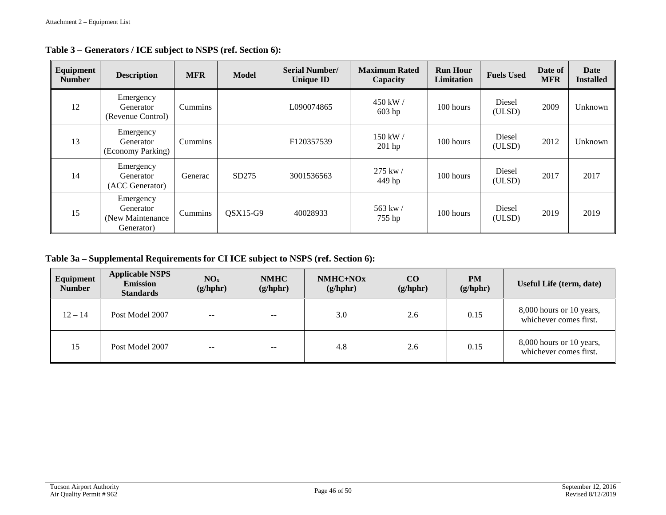| Equipment<br><b>Number</b> | <b>Description</b>                                        | <b>MFR</b> | <b>Model</b> | <b>Serial Number/</b><br><b>Unique ID</b> | <b>Maximum Rated</b><br>Capacity | <b>Run Hour</b><br>Limitation | <b>Fuels Used</b> | Date of<br><b>MFR</b> | Date<br><b>Installed</b> |
|----------------------------|-----------------------------------------------------------|------------|--------------|-------------------------------------------|----------------------------------|-------------------------------|-------------------|-----------------------|--------------------------|
| 12                         | Emergency<br>Generator<br>(Revenue Control)               | Cummins    |              | L090074865                                | 450 kW /<br>$603$ hp             | 100 hours                     | Diesel<br>(ULSD)  | 2009                  | Unknown                  |
| 13                         | Emergency<br>Generator<br>(Economy Parking)               | Cummins    |              | F120357539                                | 150 kW /<br>$201$ hp             | 100 hours                     | Diesel<br>(ULSD)  | 2012                  | Unknown                  |
| 14                         | Emergency<br>Generator<br>(ACC Generator)                 | Generac    | SD275        | 3001536563                                | 275 kw/<br>449 hp                | 100 hours                     | Diesel<br>(ULSD)  | 2017                  | 2017                     |
| 15                         | Emergency<br>Generator<br>(New Maintenance)<br>Generator) | Cummins    | $OSX15-G9$   | 40028933                                  | 563 kw/<br>755 hp                | 100 hours                     | Diesel<br>(ULSD)  | 2019                  | 2019                     |

**Table 3 – Generators / ICE subject to NSPS (ref. Section 6):**

**Table 3a – Supplemental Requirements for CI ICE subject to NSPS (ref. Section 6):**

| Equipment<br><b>Number</b> | <b>Applicable NSPS</b><br><b>Emission</b><br><b>Standards</b> | NO <sub>x</sub><br>(g/hphr) | <b>NMHC</b><br>(g/hphr) | NMHC+NOx<br>(g/hphr) | $\bf CO$<br>(g/hphr) | <b>PM</b><br>(g/hphr) | Useful Life (term, date)                           |
|----------------------------|---------------------------------------------------------------|-----------------------------|-------------------------|----------------------|----------------------|-----------------------|----------------------------------------------------|
| $12 - 14$                  | Post Model 2007                                               | $\sim$                      | $- -$                   | 3.0                  | 2.6                  | 0.15                  | 8,000 hours or 10 years,<br>whichever comes first. |
| 15                         | Post Model 2007                                               | $-$                         | $- -$                   | 4.8                  | 2.6                  | 0.15                  | 8,000 hours or 10 years,<br>whichever comes first. |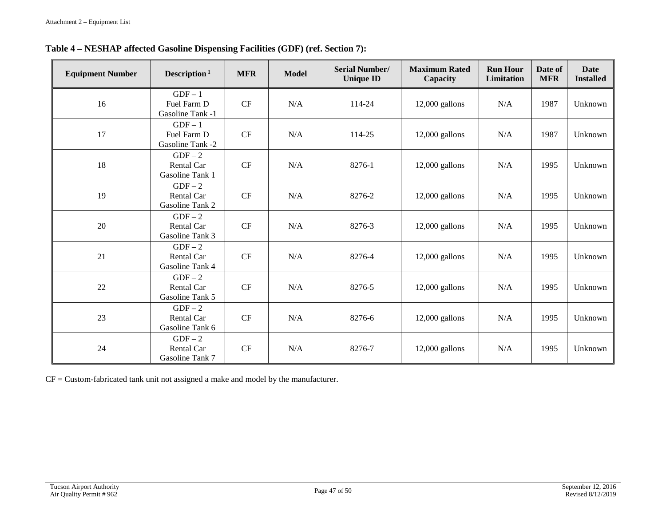| <b>Equipment Number</b> | Description <sup>1</sup>                        | <b>MFR</b> | <b>Model</b> | <b>Serial Number/</b><br><b>Unique ID</b> | <b>Maximum Rated</b><br>Capacity | <b>Run Hour</b><br>Limitation | Date of<br><b>MFR</b> | <b>Date</b><br><b>Installed</b> |
|-------------------------|-------------------------------------------------|------------|--------------|-------------------------------------------|----------------------------------|-------------------------------|-----------------------|---------------------------------|
| 16                      | $GDF-1$<br>Fuel Farm D<br>Gasoline Tank -1      | $\cal{CF}$ | N/A          | 114-24                                    | $12,000$ gallons                 | N/A                           | 1987                  | Unknown                         |
| 17                      | $GDF-1$<br>Fuel Farm D<br>Gasoline Tank -2      | CF         | N/A          | 114-25                                    | $12,000$ gallons                 | N/A                           | 1987                  | Unknown                         |
| 18                      | $GDF-2$<br>Rental Car<br>Gasoline Tank 1        | $\cal{CF}$ | N/A          | 8276-1                                    | $12,000$ gallons                 | N/A                           | 1995                  | Unknown                         |
| 19                      | $GDF-2$<br>Rental Car<br>Gasoline Tank 2        | $\cal{CF}$ | N/A          | 8276-2                                    | $12,000$ gallons                 | N/A                           | 1995                  | Unknown                         |
| 20                      | $GDF-2$<br>Rental Car<br>Gasoline Tank 3        | CF         | N/A          | 8276-3                                    | $12,000$ gallons                 | N/A                           | 1995                  | Unknown                         |
| 21                      | $GDF-2$<br><b>Rental Car</b><br>Gasoline Tank 4 | CF         | N/A          | 8276-4                                    | $12,000$ gallons                 | N/A                           | 1995                  | Unknown                         |
| 22                      | $GDF-2$<br>Rental Car<br>Gasoline Tank 5        | $\cal{CF}$ | N/A          | 8276-5                                    | $12,000$ gallons                 | N/A                           | 1995                  | Unknown                         |
| 23                      | $GDF-2$<br>Rental Car<br>Gasoline Tank 6        | CF         | N/A          | 8276-6                                    | $12,000$ gallons                 | N/A                           | 1995                  | Unknown                         |
| 24                      | $GDF-2$<br>Rental Car<br>Gasoline Tank 7        | CF         | N/A          | 8276-7                                    | $12,000$ gallons                 | N/A                           | 1995                  | Unknown                         |

CF = Custom-fabricated tank unit not assigned a make and model by the manufacturer.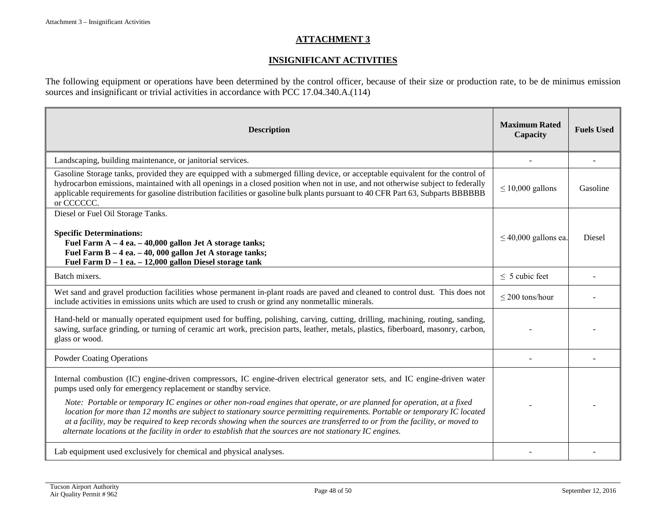#### **ATTACHMENT 3**

### **INSIGNIFICANT ACTIVITIES**

The following equipment or operations have been determined by the control officer, because of their size or production rate, to be de minimus emission sources and insignificant or trivial activities in accordance with PCC 17.04.340.A.(114)

| <b>Description</b>                                                                                                                                                                                                                                                                                                                                                                                                                                                                                                                                                                                                                                                                                 | <b>Maximum Rated</b><br>Capacity | <b>Fuels Used</b> |
|----------------------------------------------------------------------------------------------------------------------------------------------------------------------------------------------------------------------------------------------------------------------------------------------------------------------------------------------------------------------------------------------------------------------------------------------------------------------------------------------------------------------------------------------------------------------------------------------------------------------------------------------------------------------------------------------------|----------------------------------|-------------------|
| Landscaping, building maintenance, or janitorial services.                                                                                                                                                                                                                                                                                                                                                                                                                                                                                                                                                                                                                                         |                                  |                   |
| Gasoline Storage tanks, provided they are equipped with a submerged filling device, or acceptable equivalent for the control of<br>hydrocarbon emissions, maintained with all openings in a closed position when not in use, and not otherwise subject to federally<br>applicable requirements for gasoline distribution facilities or gasoline bulk plants pursuant to 40 CFR Part 63, Subparts BBBBBB<br>or CCCCCC.                                                                                                                                                                                                                                                                              | $\leq 10,000$ gallons            | Gasoline          |
| Diesel or Fuel Oil Storage Tanks.<br><b>Specific Determinations:</b><br>Fuel Farm $A - 4$ ea. $- 40,000$ gallon Jet A storage tanks;<br>Fuel Farm B - 4 ea. - 40, 000 gallon Jet A storage tanks;<br>Fuel Farm $D - 1$ ea. $- 12,000$ gallon Diesel storage tank                                                                                                                                                                                                                                                                                                                                                                                                                                   | $\leq$ 40,000 gallons ea.        | Diesel            |
| Batch mixers.                                                                                                                                                                                                                                                                                                                                                                                                                                                                                                                                                                                                                                                                                      | $\leq$ 5 cubic feet              |                   |
| Wet sand and gravel production facilities whose permanent in-plant roads are paved and cleaned to control dust. This does not<br>include activities in emissions units which are used to crush or grind any nonmetallic minerals.                                                                                                                                                                                                                                                                                                                                                                                                                                                                  | $\leq$ 200 tons/hour             |                   |
| Hand-held or manually operated equipment used for buffing, polishing, carving, cutting, drilling, machining, routing, sanding,<br>sawing, surface grinding, or turning of ceramic art work, precision parts, leather, metals, plastics, fiberboard, masonry, carbon,<br>glass or wood.                                                                                                                                                                                                                                                                                                                                                                                                             |                                  |                   |
| <b>Powder Coating Operations</b>                                                                                                                                                                                                                                                                                                                                                                                                                                                                                                                                                                                                                                                                   |                                  |                   |
| Internal combustion (IC) engine-driven compressors, IC engine-driven electrical generator sets, and IC engine-driven water<br>pumps used only for emergency replacement or standby service.<br>Note: Portable or temporary IC engines or other non-road engines that operate, or are planned for operation, at a fixed<br>location for more than 12 months are subject to stationary source permitting requirements. Portable or temporary IC located<br>at a facility, may be required to keep records showing when the sources are transferred to or from the facility, or moved to<br>alternate locations at the facility in order to establish that the sources are not stationary IC engines. |                                  |                   |
| Lab equipment used exclusively for chemical and physical analyses.                                                                                                                                                                                                                                                                                                                                                                                                                                                                                                                                                                                                                                 |                                  |                   |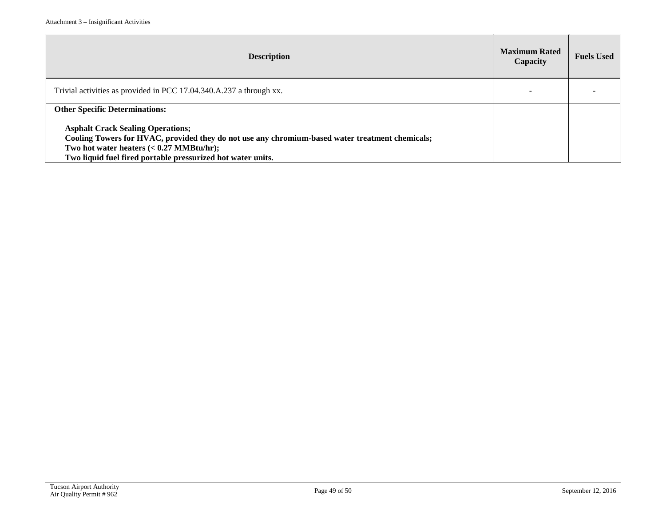| <b>Description</b>                                                                                                                                                                                                                                             | <b>Maximum Rated</b><br>Capacity | <b>Fuels Used</b> |
|----------------------------------------------------------------------------------------------------------------------------------------------------------------------------------------------------------------------------------------------------------------|----------------------------------|-------------------|
| Trivial activities as provided in PCC 17.04.340.A.237 a through xx.                                                                                                                                                                                            |                                  |                   |
| <b>Other Specific Determinations:</b>                                                                                                                                                                                                                          |                                  |                   |
| <b>Asphalt Crack Sealing Operations;</b><br>Cooling Towers for HVAC, provided they do not use any chromium-based water treatment chemicals;<br>Two hot water heaters $(0.27 \text{ MMBtu/hr});$<br>Two liquid fuel fired portable pressurized hot water units. |                                  |                   |